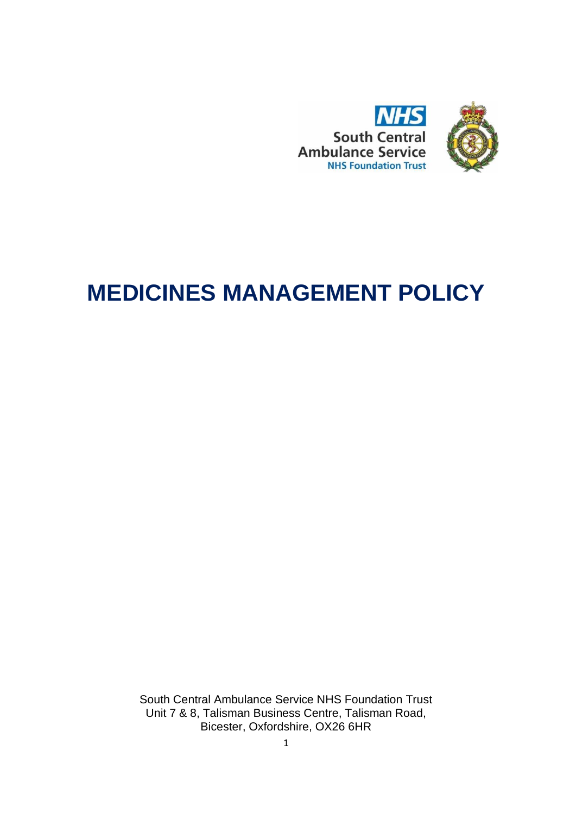

# **MEDICINES MANAGEMENT POLICY**

South Central Ambulance Service NHS Foundation Trust Unit 7 & 8, Talisman Business Centre, Talisman Road, Bicester, Oxfordshire, OX26 6HR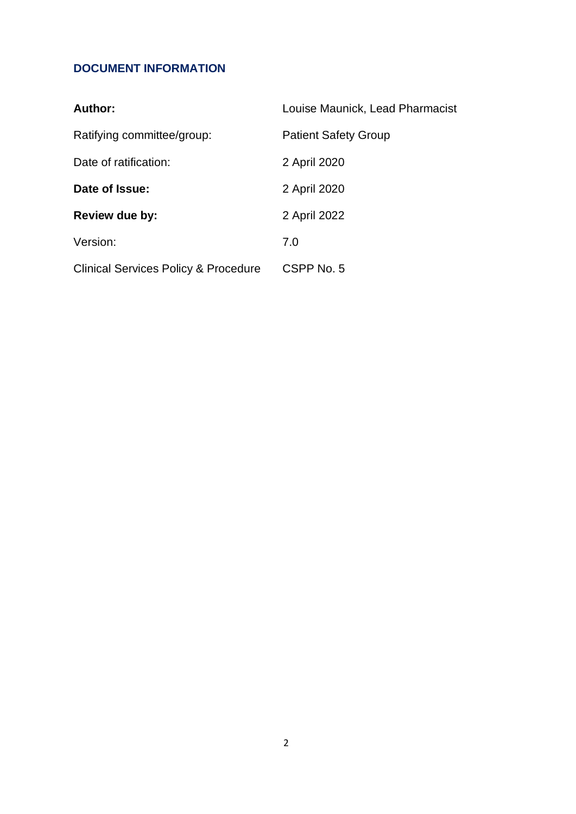### **DOCUMENT INFORMATION**

| <b>Author:</b>                                  | Louise Maunick, Lead Pharmacist |  |  |  |  |
|-------------------------------------------------|---------------------------------|--|--|--|--|
| Ratifying committee/group:                      | <b>Patient Safety Group</b>     |  |  |  |  |
| Date of ratification:                           | 2 April 2020                    |  |  |  |  |
| Date of Issue:                                  | 2 April 2020                    |  |  |  |  |
| Review due by:                                  | 2 April 2022                    |  |  |  |  |
| Version:                                        | 7.0                             |  |  |  |  |
| <b>Clinical Services Policy &amp; Procedure</b> | CSPP No. 5                      |  |  |  |  |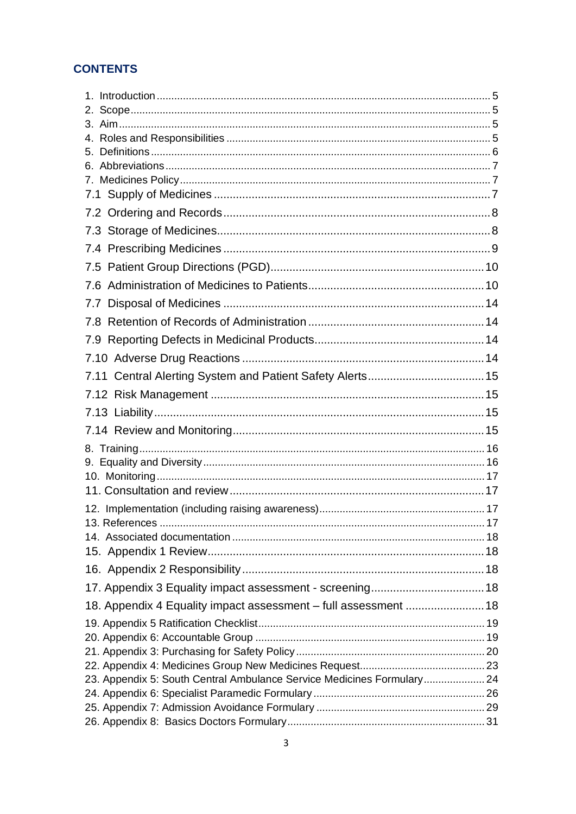### **CONTENTS**

| 7.                                                                     |  |
|------------------------------------------------------------------------|--|
|                                                                        |  |
|                                                                        |  |
|                                                                        |  |
|                                                                        |  |
|                                                                        |  |
|                                                                        |  |
|                                                                        |  |
|                                                                        |  |
|                                                                        |  |
|                                                                        |  |
|                                                                        |  |
|                                                                        |  |
|                                                                        |  |
|                                                                        |  |
|                                                                        |  |
|                                                                        |  |
|                                                                        |  |
|                                                                        |  |
|                                                                        |  |
|                                                                        |  |
|                                                                        |  |
|                                                                        |  |
|                                                                        |  |
|                                                                        |  |
| 18. Appendix 4 Equality impact assessment - full assessment  18        |  |
|                                                                        |  |
|                                                                        |  |
|                                                                        |  |
| 23. Appendix 5: South Central Ambulance Service Medicines Formulary 24 |  |
|                                                                        |  |
|                                                                        |  |
|                                                                        |  |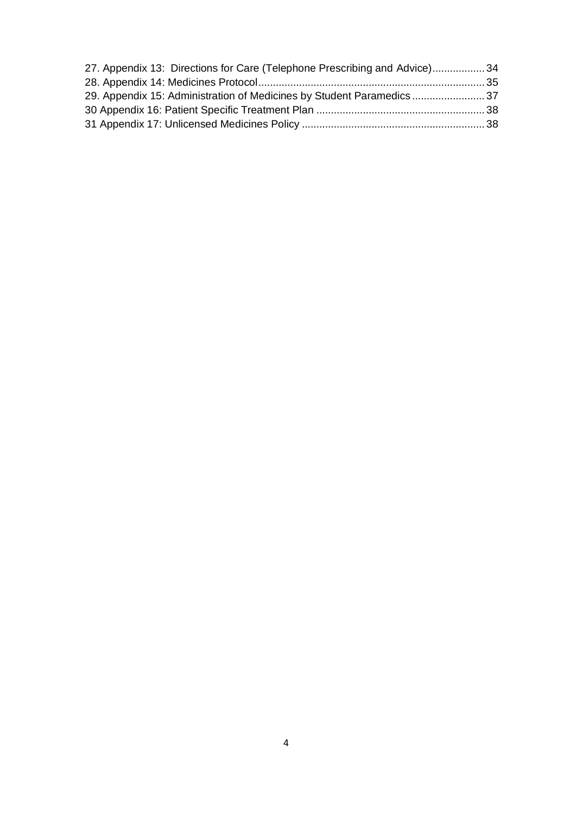| 27. Appendix 13: Directions for Care (Telephone Prescribing and Advice)34 |  |
|---------------------------------------------------------------------------|--|
|                                                                           |  |
| 29. Appendix 15: Administration of Medicines by Student Paramedics  37    |  |
|                                                                           |  |
|                                                                           |  |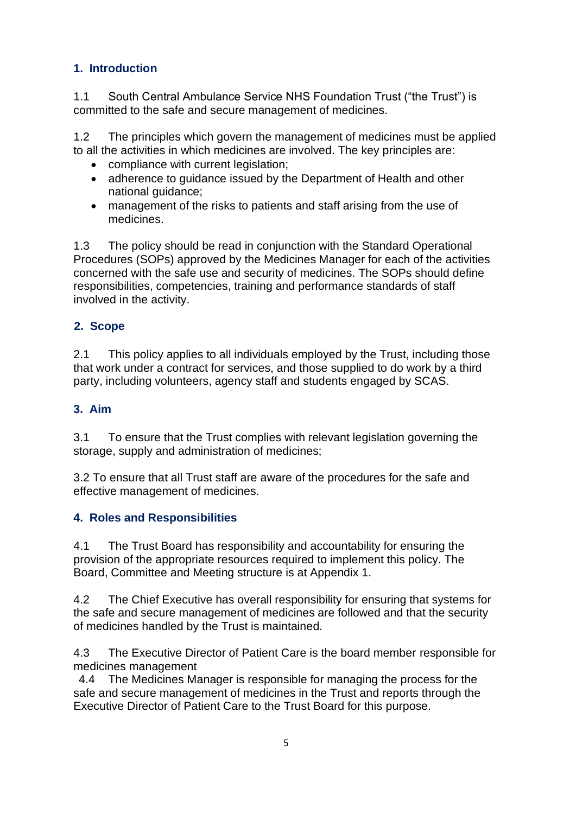#### <span id="page-4-0"></span>**1. Introduction**

1.1 South Central Ambulance Service NHS Foundation Trust ("the Trust") is committed to the safe and secure management of medicines.

1.2 The principles which govern the management of medicines must be applied to all the activities in which medicines are involved. The key principles are:

- compliance with current legislation;
- adherence to guidance issued by the Department of Health and other national guidance;
- management of the risks to patients and staff arising from the use of medicines.

1.3 The policy should be read in conjunction with the Standard Operational Procedures (SOPs) approved by the Medicines Manager for each of the activities concerned with the safe use and security of medicines. The SOPs should define responsibilities, competencies, training and performance standards of staff involved in the activity.

#### <span id="page-4-1"></span>**2. Scope**

2.1 This policy applies to all individuals employed by the Trust, including those that work under a contract for services, and those supplied to do work by a third party, including volunteers, agency staff and students engaged by SCAS.

#### <span id="page-4-2"></span>**3. Aim**

3.1 To ensure that the Trust complies with relevant legislation governing the storage, supply and administration of medicines;

3.2 To ensure that all Trust staff are aware of the procedures for the safe and effective management of medicines.

#### <span id="page-4-3"></span>**4. Roles and Responsibilities**

4.1 The Trust Board has responsibility and accountability for ensuring the provision of the appropriate resources required to implement this policy. The Board, Committee and Meeting structure is at Appendix 1.

4.2 The Chief Executive has overall responsibility for ensuring that systems for the safe and secure management of medicines are followed and that the security of medicines handled by the Trust is maintained.

4.3 The Executive Director of Patient Care is the board member responsible for medicines management

4.4 The Medicines Manager is responsible for managing the process for the safe and secure management of medicines in the Trust and reports through the Executive Director of Patient Care to the Trust Board for this purpose.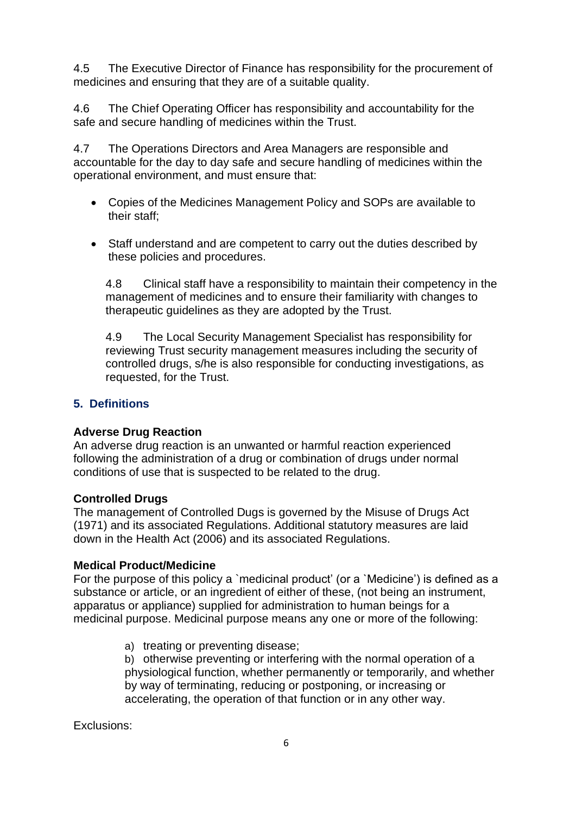4.5 The Executive Director of Finance has responsibility for the procurement of medicines and ensuring that they are of a suitable quality.

4.6 The Chief Operating Officer has responsibility and accountability for the safe and secure handling of medicines within the Trust.

4.7 The Operations Directors and Area Managers are responsible and accountable for the day to day safe and secure handling of medicines within the operational environment, and must ensure that:

- Copies of the Medicines Management Policy and SOPs are available to their staff;
- Staff understand and are competent to carry out the duties described by these policies and procedures.

4.8 Clinical staff have a responsibility to maintain their competency in the management of medicines and to ensure their familiarity with changes to therapeutic guidelines as they are adopted by the Trust.

4.9 The Local Security Management Specialist has responsibility for reviewing Trust security management measures including the security of controlled drugs, s/he is also responsible for conducting investigations, as requested, for the Trust.

#### <span id="page-5-0"></span>**5. Definitions**

#### **Adverse Drug Reaction**

An adverse drug reaction is an unwanted or harmful reaction experienced following the administration of a drug or combination of drugs under normal conditions of use that is suspected to be related to the drug.

#### **Controlled Drugs**

The management of Controlled Dugs is governed by the Misuse of Drugs Act (1971) and its associated Regulations. Additional statutory measures are laid down in the Health Act (2006) and its associated Regulations.

#### **Medical Product/Medicine**

For the purpose of this policy a `medicinal product' (or a `Medicine') is defined as a substance or article, or an ingredient of either of these, (not being an instrument, apparatus or appliance) supplied for administration to human beings for a medicinal purpose. Medicinal purpose means any one or more of the following:

a) treating or preventing disease;

b) otherwise preventing or interfering with the normal operation of a physiological function, whether permanently or temporarily, and whether by way of terminating, reducing or postponing, or increasing or accelerating, the operation of that function or in any other way.

Exclusions: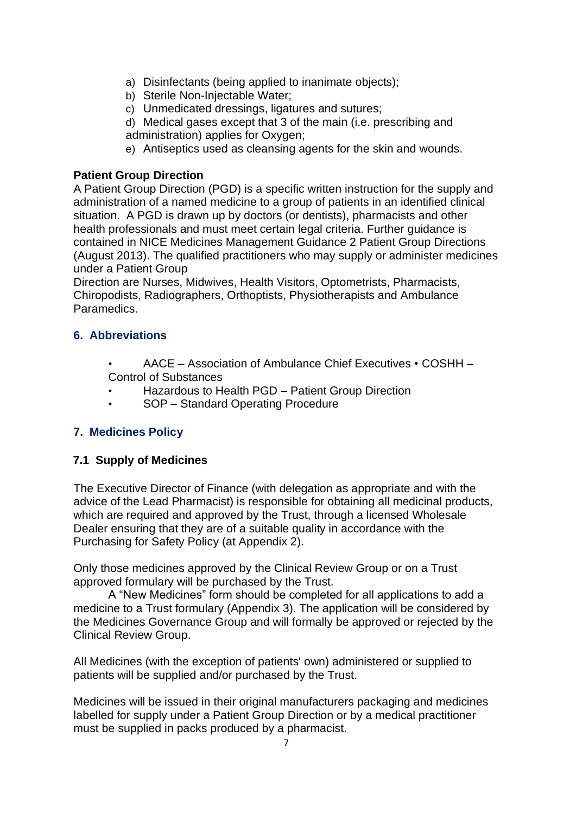- a) Disinfectants (being applied to inanimate objects);
- b) Sterile Non-Injectable Water;
- c) Unmedicated dressings, ligatures and sutures;
- d) Medical gases except that 3 of the main (i.e. prescribing and administration) applies for Oxygen;
- e) Antiseptics used as cleansing agents for the skin and wounds.

#### **Patient Group Direction**

A Patient Group Direction (PGD) is a specific written instruction for the supply and administration of a named medicine to a group of patients in an identified clinical situation. A PGD is drawn up by doctors (or dentists), pharmacists and other health professionals and must meet certain legal criteria. Further guidance is contained in NICE Medicines Management Guidance 2 Patient Group Directions (August 2013). The qualified practitioners who may supply or administer medicines under a Patient Group

Direction are Nurses, Midwives, Health Visitors, Optometrists, Pharmacists, Chiropodists, Radiographers, Orthoptists, Physiotherapists and Ambulance Paramedics.

#### <span id="page-6-0"></span>**6. Abbreviations**

- AACE Association of Ambulance Chief Executives COSHH Control of Substances
- Hazardous to Health PGD Patient Group Direction
- SOP Standard Operating Procedure

#### <span id="page-6-1"></span>**7. Medicines Policy**

#### <span id="page-6-2"></span>**7.1 Supply of Medicines**

The Executive Director of Finance (with delegation as appropriate and with the advice of the Lead Pharmacist) is responsible for obtaining all medicinal products, which are required and approved by the Trust, through a licensed Wholesale Dealer ensuring that they are of a suitable quality in accordance with the Purchasing for Safety Policy (at Appendix 2).

Only those medicines approved by the Clinical Review Group or on a Trust approved formulary will be purchased by the Trust.

A "New Medicines" form should be completed for all applications to add a medicine to a Trust formulary (Appendix 3). The application will be considered by the Medicines Governance Group and will formally be approved or rejected by the Clinical Review Group.

All Medicines (with the exception of patients' own) administered or supplied to patients will be supplied and/or purchased by the Trust.

Medicines will be issued in their original manufacturers packaging and medicines labelled for supply under a Patient Group Direction or by a medical practitioner must be supplied in packs produced by a pharmacist.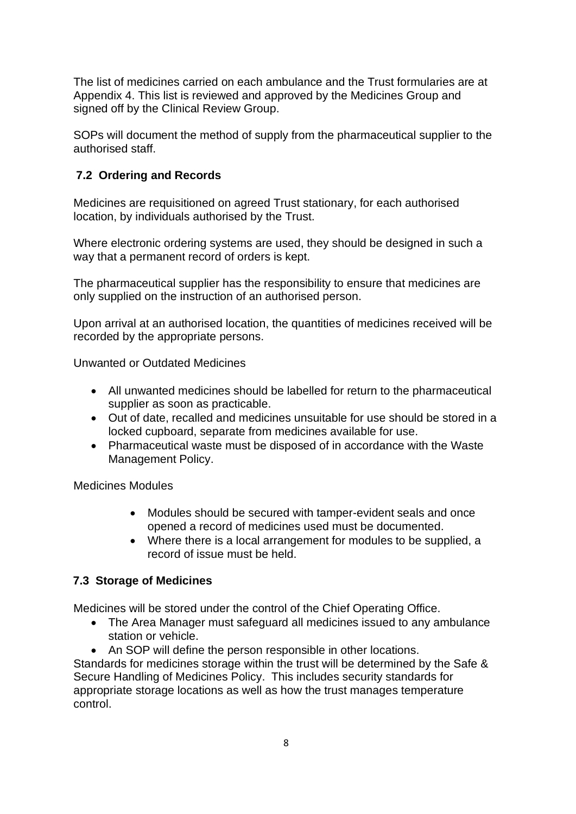The list of medicines carried on each ambulance and the Trust formularies are at Appendix 4. This list is reviewed and approved by the Medicines Group and signed off by the Clinical Review Group.

SOPs will document the method of supply from the pharmaceutical supplier to the authorised staff.

#### <span id="page-7-0"></span>**7.2 Ordering and Records**

Medicines are requisitioned on agreed Trust stationary, for each authorised location, by individuals authorised by the Trust.

Where electronic ordering systems are used, they should be designed in such a way that a permanent record of orders is kept.

The pharmaceutical supplier has the responsibility to ensure that medicines are only supplied on the instruction of an authorised person.

Upon arrival at an authorised location, the quantities of medicines received will be recorded by the appropriate persons.

Unwanted or Outdated Medicines

- All unwanted medicines should be labelled for return to the pharmaceutical supplier as soon as practicable.
- Out of date, recalled and medicines unsuitable for use should be stored in a locked cupboard, separate from medicines available for use.
- Pharmaceutical waste must be disposed of in accordance with the Waste Management Policy.

Medicines Modules

- Modules should be secured with tamper-evident seals and once opened a record of medicines used must be documented.
- Where there is a local arrangement for modules to be supplied, a record of issue must be held.

#### <span id="page-7-1"></span>**7.3 Storage of Medicines**

Medicines will be stored under the control of the Chief Operating Office.

- The Area Manager must safeguard all medicines issued to any ambulance station or vehicle.
- An SOP will define the person responsible in other locations.

Standards for medicines storage within the trust will be determined by the Safe & Secure Handling of Medicines Policy. This includes security standards for appropriate storage locations as well as how the trust manages temperature control.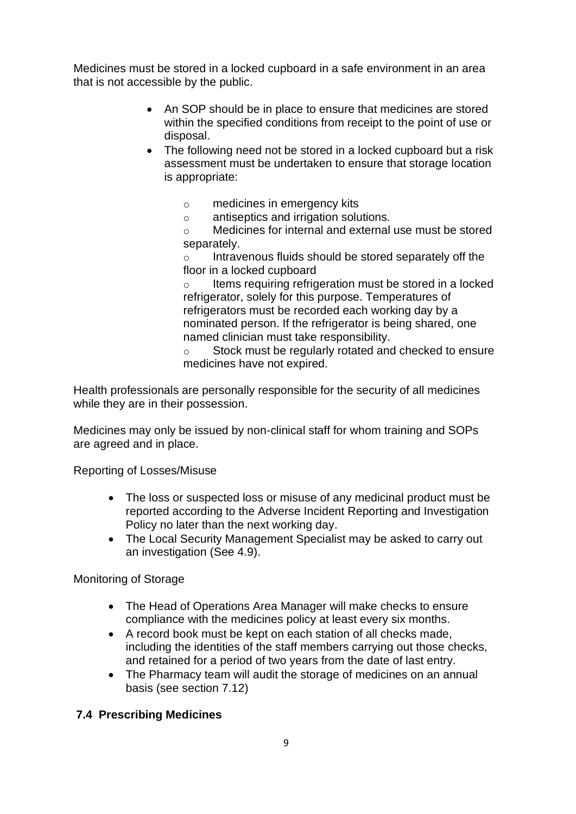Medicines must be stored in a locked cupboard in a safe environment in an area that is not accessible by the public.

- An SOP should be in place to ensure that medicines are stored within the specified conditions from receipt to the point of use or disposal.
- The following need not be stored in a locked cupboard but a risk assessment must be undertaken to ensure that storage location is appropriate:
	- o medicines in emergency kits
	- o antiseptics and irrigation solutions.
	- o Medicines for internal and external use must be stored separately.

Intravenous fluids should be stored separately off the floor in a locked cupboard

Items requiring refrigeration must be stored in a locked refrigerator, solely for this purpose. Temperatures of refrigerators must be recorded each working day by a nominated person. If the refrigerator is being shared, one named clinician must take responsibility.

o Stock must be regularly rotated and checked to ensure medicines have not expired.

Health professionals are personally responsible for the security of all medicines while they are in their possession.

Medicines may only be issued by non-clinical staff for whom training and SOPs are agreed and in place.

Reporting of Losses/Misuse

- The loss or suspected loss or misuse of any medicinal product must be reported according to the Adverse Incident Reporting and Investigation Policy no later than the next working day.
- The Local Security Management Specialist may be asked to carry out an investigation (See 4.9).

Monitoring of Storage

- The Head of Operations Area Manager will make checks to ensure compliance with the medicines policy at least every six months.
- A record book must be kept on each station of all checks made, including the identities of the staff members carrying out those checks, and retained for a period of two years from the date of last entry.
- The Pharmacy team will audit the storage of medicines on an annual basis (see section 7.12)

#### <span id="page-8-0"></span>**7.4 Prescribing Medicines**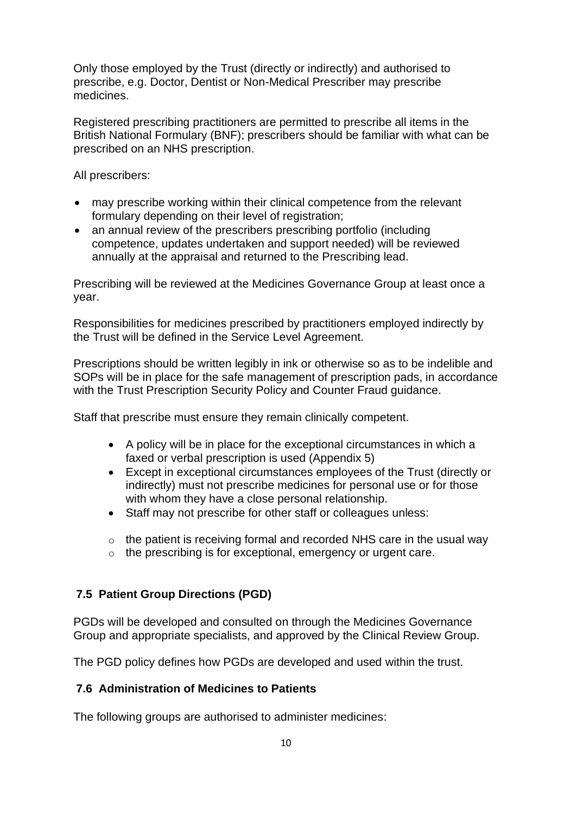Only those employed by the Trust (directly or indirectly) and authorised to prescribe, e.g. Doctor, Dentist or Non-Medical Prescriber may prescribe medicines.

Registered prescribing practitioners are permitted to prescribe all items in the British National Formulary (BNF); prescribers should be familiar with what can be prescribed on an NHS prescription.

All prescribers:

- may prescribe working within their clinical competence from the relevant formulary depending on their level of registration;
- an annual review of the prescribers prescribing portfolio (including competence, updates undertaken and support needed) will be reviewed annually at the appraisal and returned to the Prescribing lead.

Prescribing will be reviewed at the Medicines Governance Group at least once a year.

Responsibilities for medicines prescribed by practitioners employed indirectly by the Trust will be defined in the Service Level Agreement.

Prescriptions should be written legibly in ink or otherwise so as to be indelible and SOPs will be in place for the safe management of prescription pads, in accordance with the Trust Prescription Security Policy and Counter Fraud guidance.

Staff that prescribe must ensure they remain clinically competent.

- A policy will be in place for the exceptional circumstances in which a faxed or verbal prescription is used (Appendix 5)
- Except in exceptional circumstances employees of the Trust (directly or indirectly) must not prescribe medicines for personal use or for those with whom they have a close personal relationship.
- Staff may not prescribe for other staff or colleagues unless:
- $\circ$  the patient is receiving formal and recorded NHS care in the usual way
- o the prescribing is for exceptional, emergency or urgent care.

#### <span id="page-9-0"></span>**7.5 Patient Group Directions (PGD)**

PGDs will be developed and consulted on through the Medicines Governance Group and appropriate specialists, and approved by the Clinical Review Group.

The PGD policy defines how PGDs are developed and used within the trust.

#### <span id="page-9-1"></span>**7.6 Administration of Medicines to Patients**

The following groups are authorised to administer medicines: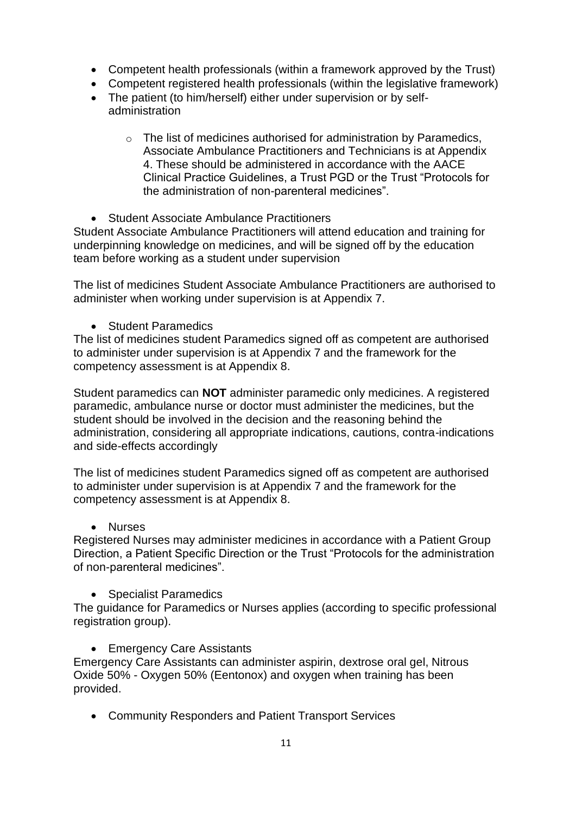- Competent health professionals (within a framework approved by the Trust)
- Competent registered health professionals (within the legislative framework)
- The patient (to him/herself) either under supervision or by selfadministration
	- $\circ$  The list of medicines authorised for administration by Paramedics, Associate Ambulance Practitioners and Technicians is at Appendix 4. These should be administered in accordance with the AACE Clinical Practice Guidelines, a Trust PGD or the Trust "Protocols for the administration of non-parenteral medicines".
- Student Associate Ambulance Practitioners

Student Associate Ambulance Practitioners will attend education and training for underpinning knowledge on medicines, and will be signed off by the education team before working as a student under supervision

The list of medicines Student Associate Ambulance Practitioners are authorised to administer when working under supervision is at Appendix 7.

• Student Paramedics

The list of medicines student Paramedics signed off as competent are authorised to administer under supervision is at Appendix 7 and the framework for the competency assessment is at Appendix 8.

Student paramedics can **NOT** administer paramedic only medicines. A registered paramedic, ambulance nurse or doctor must administer the medicines, but the student should be involved in the decision and the reasoning behind the administration, considering all appropriate indications, cautions, contra-indications and side-effects accordingly

The list of medicines student Paramedics signed off as competent are authorised to administer under supervision is at Appendix 7 and the framework for the competency assessment is at Appendix 8.

• Nurses

Registered Nurses may administer medicines in accordance with a Patient Group Direction, a Patient Specific Direction or the Trust "Protocols for the administration of non-parenteral medicines".

• Specialist Paramedics

The guidance for Paramedics or Nurses applies (according to specific professional registration group).

• Emergency Care Assistants

Emergency Care Assistants can administer aspirin, dextrose oral gel, Nitrous Oxide 50% - Oxygen 50% (Eentonox) and oxygen when training has been provided.

• Community Responders and Patient Transport Services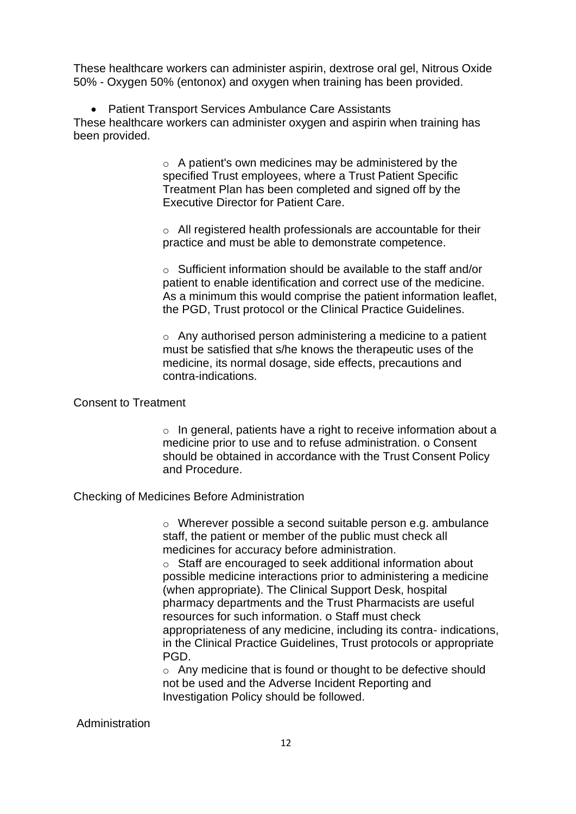These healthcare workers can administer aspirin, dextrose oral gel, Nitrous Oxide 50% - Oxygen 50% (entonox) and oxygen when training has been provided.

• Patient Transport Services Ambulance Care Assistants These healthcare workers can administer oxygen and aspirin when training has been provided.

> o A patient's own medicines may be administered by the specified Trust employees, where a Trust Patient Specific Treatment Plan has been completed and signed off by the Executive Director for Patient Care.

o All registered health professionals are accountable for their practice and must be able to demonstrate competence.

o Sufficient information should be available to the staff and/or patient to enable identification and correct use of the medicine. As a minimum this would comprise the patient information leaflet, the PGD, Trust protocol or the Clinical Practice Guidelines.

o Any authorised person administering a medicine to a patient must be satisfied that s/he knows the therapeutic uses of the medicine, its normal dosage, side effects, precautions and contra-indications.

#### Consent to Treatment

 $\circ$  In general, patients have a right to receive information about a medicine prior to use and to refuse administration. o Consent should be obtained in accordance with the Trust Consent Policy and Procedure.

Checking of Medicines Before Administration

o Wherever possible a second suitable person e.g. ambulance staff, the patient or member of the public must check all medicines for accuracy before administration.

o Staff are encouraged to seek additional information about possible medicine interactions prior to administering a medicine (when appropriate). The Clinical Support Desk, hospital pharmacy departments and the Trust Pharmacists are useful resources for such information. o Staff must check appropriateness of any medicine, including its contra- indications, in the Clinical Practice Guidelines, Trust protocols or appropriate PGD.

o Any medicine that is found or thought to be defective should not be used and the Adverse Incident Reporting and Investigation Policy should be followed.

#### Administration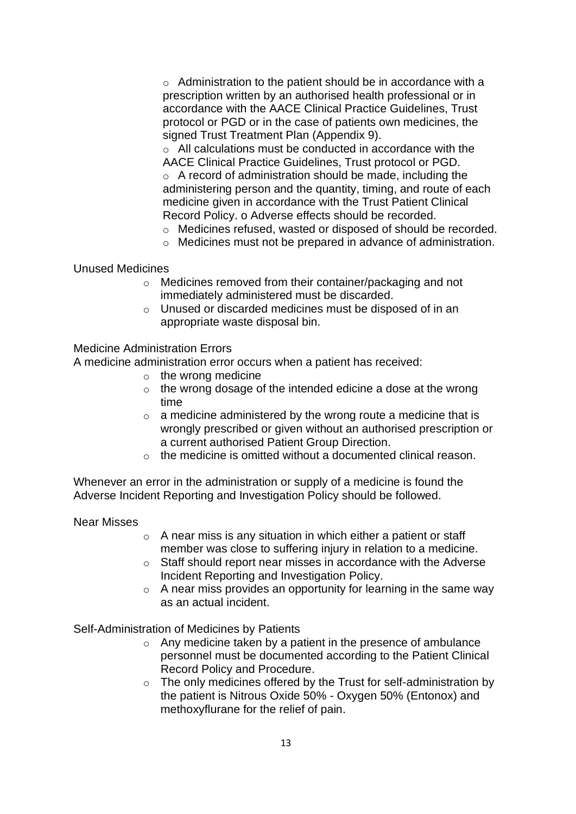o Administration to the patient should be in accordance with a prescription written by an authorised health professional or in accordance with the AACE Clinical Practice Guidelines, Trust protocol or PGD or in the case of patients own medicines, the signed Trust Treatment Plan (Appendix 9).

o All calculations must be conducted in accordance with the AACE Clinical Practice Guidelines, Trust protocol or PGD. o A record of administration should be made, including the administering person and the quantity, timing, and route of each medicine given in accordance with the Trust Patient Clinical Record Policy. o Adverse effects should be recorded.

- o Medicines refused, wasted or disposed of should be recorded.
- o Medicines must not be prepared in advance of administration.

#### Unused Medicines

- o Medicines removed from their container/packaging and not immediately administered must be discarded.
- o Unused or discarded medicines must be disposed of in an appropriate waste disposal bin.

#### Medicine Administration Errors

A medicine administration error occurs when a patient has received:

- $\circ$  the wrong medicine
- o the wrong dosage of the intended edicine a dose at the wrong time
- $\circ$  a medicine administered by the wrong route a medicine that is wrongly prescribed or given without an authorised prescription or a current authorised Patient Group Direction.
- $\circ$  the medicine is omitted without a documented clinical reason.

Whenever an error in the administration or supply of a medicine is found the Adverse Incident Reporting and Investigation Policy should be followed.

#### Near Misses

- $\circ$  A near miss is any situation in which either a patient or staff member was close to suffering injury in relation to a medicine.
- o Staff should report near misses in accordance with the Adverse Incident Reporting and Investigation Policy.
- $\circ$  A near miss provides an opportunity for learning in the same way as an actual incident.

Self-Administration of Medicines by Patients

- o Any medicine taken by a patient in the presence of ambulance personnel must be documented according to the Patient Clinical Record Policy and Procedure.
- o The only medicines offered by the Trust for self-administration by the patient is Nitrous Oxide 50% - Oxygen 50% (Entonox) and methoxyflurane for the relief of pain.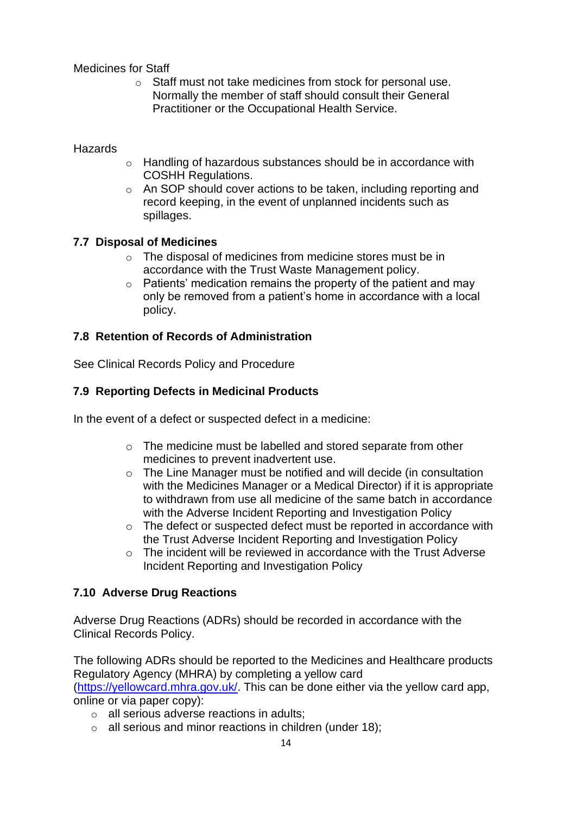Medicines for Staff

o Staff must not take medicines from stock for personal use. Normally the member of staff should consult their General Practitioner or the Occupational Health Service.

**Hazards** 

- o Handling of hazardous substances should be in accordance with COSHH Regulations.
- o An SOP should cover actions to be taken, including reporting and record keeping, in the event of unplanned incidents such as spillages.

#### <span id="page-13-0"></span>**7.7 Disposal of Medicines**

- o The disposal of medicines from medicine stores must be in accordance with the Trust Waste Management policy.
- $\circ$  Patients' medication remains the property of the patient and may only be removed from a patient's home in accordance with a local policy.

#### <span id="page-13-1"></span>**7.8 Retention of Records of Administration**

See Clinical Records Policy and Procedure

#### <span id="page-13-2"></span>**7.9 Reporting Defects in Medicinal Products**

In the event of a defect or suspected defect in a medicine:

- o The medicine must be labelled and stored separate from other medicines to prevent inadvertent use.
- o The Line Manager must be notified and will decide (in consultation with the Medicines Manager or a Medical Director) if it is appropriate to withdrawn from use all medicine of the same batch in accordance with the Adverse Incident Reporting and Investigation Policy
- o The defect or suspected defect must be reported in accordance with the Trust Adverse Incident Reporting and Investigation Policy
- o The incident will be reviewed in accordance with the Trust Adverse Incident Reporting and Investigation Policy

#### <span id="page-13-3"></span>**7.10 Adverse Drug Reactions**

Adverse Drug Reactions (ADRs) should be recorded in accordance with the Clinical Records Policy.

The following ADRs should be reported to the Medicines and Healthcare products Regulatory Agency (MHRA) by completing a yellow card

[\(https://yellowcard.mhra.gov.uk/.](https://yellowcard.mhra.gov.uk/) This can be done either via the yellow card app, online or via paper copy):

- o all serious adverse reactions in adults;
- $\circ$  all serious and minor reactions in children (under 18);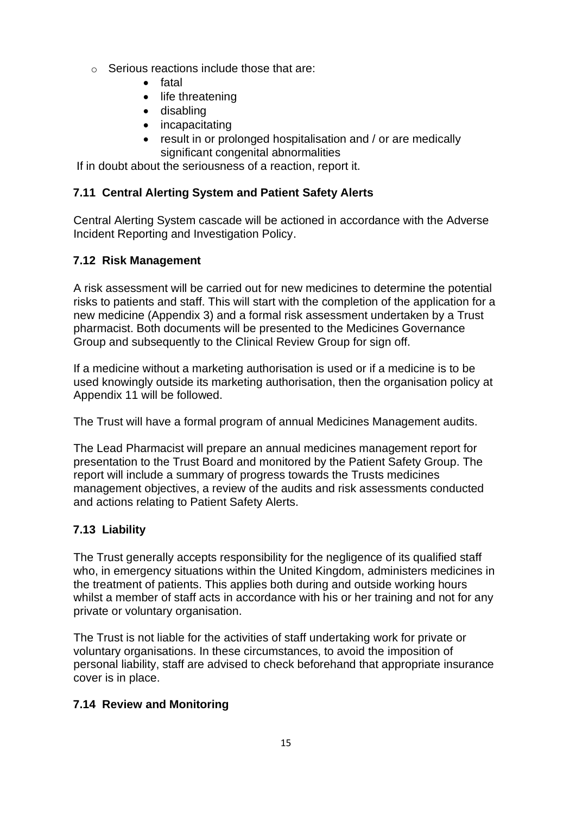- $\circ$  Serious reactions include those that are:
	- fatal
	- life threatening
	- disabling
	- incapacitating
	- result in or prolonged hospitalisation and / or are medically significant congenital abnormalities

If in doubt about the seriousness of a reaction, report it.

#### <span id="page-14-0"></span>**7.11 Central Alerting System and Patient Safety Alerts**

Central Alerting System cascade will be actioned in accordance with the Adverse Incident Reporting and Investigation Policy.

#### <span id="page-14-1"></span>**7.12 Risk Management**

A risk assessment will be carried out for new medicines to determine the potential risks to patients and staff. This will start with the completion of the application for a new medicine (Appendix 3) and a formal risk assessment undertaken by a Trust pharmacist. Both documents will be presented to the Medicines Governance Group and subsequently to the Clinical Review Group for sign off.

If a medicine without a marketing authorisation is used or if a medicine is to be used knowingly outside its marketing authorisation, then the organisation policy at Appendix 11 will be followed.

The Trust will have a formal program of annual Medicines Management audits.

The Lead Pharmacist will prepare an annual medicines management report for presentation to the Trust Board and monitored by the Patient Safety Group. The report will include a summary of progress towards the Trusts medicines management objectives, a review of the audits and risk assessments conducted and actions relating to Patient Safety Alerts.

#### <span id="page-14-2"></span>**7.13 Liability**

The Trust generally accepts responsibility for the negligence of its qualified staff who, in emergency situations within the United Kingdom, administers medicines in the treatment of patients. This applies both during and outside working hours whilst a member of staff acts in accordance with his or her training and not for any private or voluntary organisation.

The Trust is not liable for the activities of staff undertaking work for private or voluntary organisations. In these circumstances, to avoid the imposition of personal liability, staff are advised to check beforehand that appropriate insurance cover is in place.

#### <span id="page-14-3"></span>**7.14 Review and Monitoring**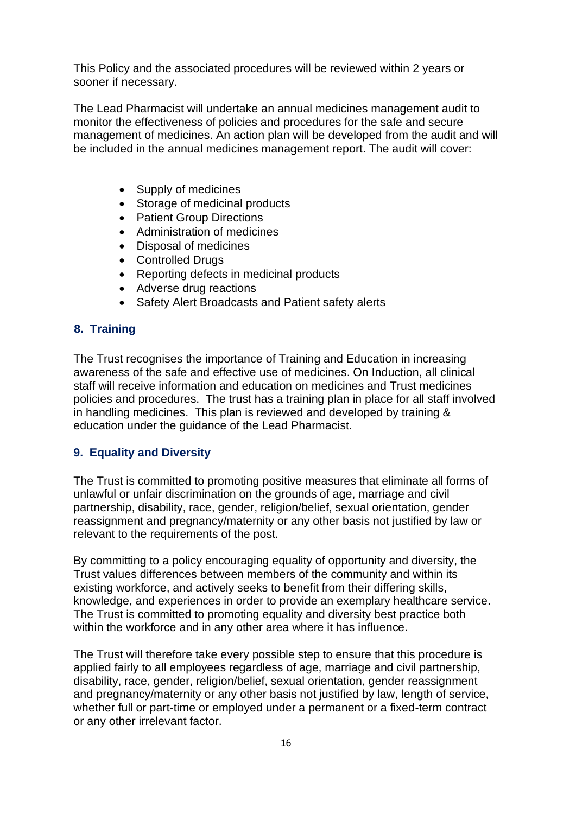This Policy and the associated procedures will be reviewed within 2 years or sooner if necessary.

The Lead Pharmacist will undertake an annual medicines management audit to monitor the effectiveness of policies and procedures for the safe and secure management of medicines. An action plan will be developed from the audit and will be included in the annual medicines management report. The audit will cover:

- Supply of medicines
- Storage of medicinal products
- Patient Group Directions
- Administration of medicines
- Disposal of medicines
- Controlled Drugs
- Reporting defects in medicinal products
- Adverse drug reactions
- Safety Alert Broadcasts and Patient safety alerts

#### <span id="page-15-0"></span>**8. Training**

The Trust recognises the importance of Training and Education in increasing awareness of the safe and effective use of medicines. On Induction, all clinical staff will receive information and education on medicines and Trust medicines policies and procedures. The trust has a training plan in place for all staff involved in handling medicines. This plan is reviewed and developed by training & education under the guidance of the Lead Pharmacist.

#### <span id="page-15-1"></span>**9. Equality and Diversity**

The Trust is committed to promoting positive measures that eliminate all forms of unlawful or unfair discrimination on the grounds of age, marriage and civil partnership, disability, race, gender, religion/belief, sexual orientation, gender reassignment and pregnancy/maternity or any other basis not justified by law or relevant to the requirements of the post.

By committing to a policy encouraging equality of opportunity and diversity, the Trust values differences between members of the community and within its existing workforce, and actively seeks to benefit from their differing skills, knowledge, and experiences in order to provide an exemplary healthcare service. The Trust is committed to promoting equality and diversity best practice both within the workforce and in any other area where it has influence.

The Trust will therefore take every possible step to ensure that this procedure is applied fairly to all employees regardless of age, marriage and civil partnership, disability, race, gender, religion/belief, sexual orientation, gender reassignment and pregnancy/maternity or any other basis not justified by law, length of service, whether full or part-time or employed under a permanent or a fixed-term contract or any other irrelevant factor.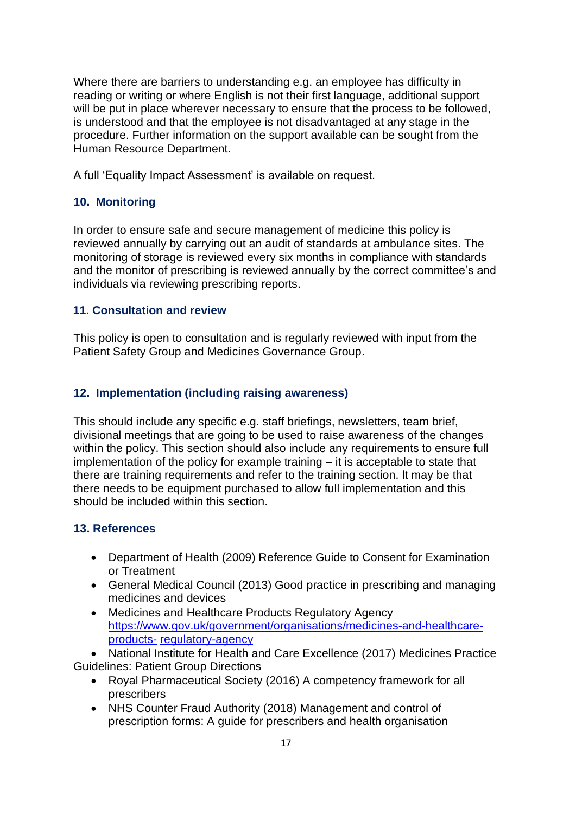Where there are barriers to understanding e.g. an employee has difficulty in reading or writing or where English is not their first language, additional support will be put in place wherever necessary to ensure that the process to be followed, is understood and that the employee is not disadvantaged at any stage in the procedure. Further information on the support available can be sought from the Human Resource Department.

A full 'Equality Impact Assessment' is available on request.

#### <span id="page-16-0"></span>**10. Monitoring**

In order to ensure safe and secure management of medicine this policy is reviewed annually by carrying out an audit of standards at ambulance sites. The monitoring of storage is reviewed every six months in compliance with standards and the monitor of prescribing is reviewed annually by the correct committee's and individuals via reviewing prescribing reports.

#### <span id="page-16-1"></span>**11. Consultation and review**

This policy is open to consultation and is regularly reviewed with input from the Patient Safety Group and Medicines Governance Group.

#### <span id="page-16-2"></span>**12. Implementation (including raising awareness)**

This should include any specific e.g. staff briefings, newsletters, team brief, divisional meetings that are going to be used to raise awareness of the changes within the policy. This section should also include any requirements to ensure full implementation of the policy for example training – it is acceptable to state that there are training requirements and refer to the training section. It may be that there needs to be equipment purchased to allow full implementation and this should be included within this section.

#### <span id="page-16-3"></span>**13. References**

- Department of Health (2009) Reference Guide to Consent for Examination or Treatment
- General Medical Council (2013) Good practice in prescribing and managing medicines and devices
- Medicines and Healthcare Products Regulatory Agency [https://www.gov.uk/government/organisations/medicines-and-healthcare](https://www.gov.uk/government/organisations/medicines-and-healthcare-products-regulatory-agency)[products-](https://www.gov.uk/government/organisations/medicines-and-healthcare-products-regulatory-agency) [regulatory-agency](https://www.gov.uk/government/organisations/medicines-and-healthcare-products-regulatory-agency)

• National Institute for Health and Care Excellence (2017) Medicines Practice Guidelines: Patient Group Directions

- Royal Pharmaceutical Society (2016) A competency framework for all prescribers
- NHS Counter Fraud Authority (2018) Management and control of prescription forms: A guide for prescribers and health organisation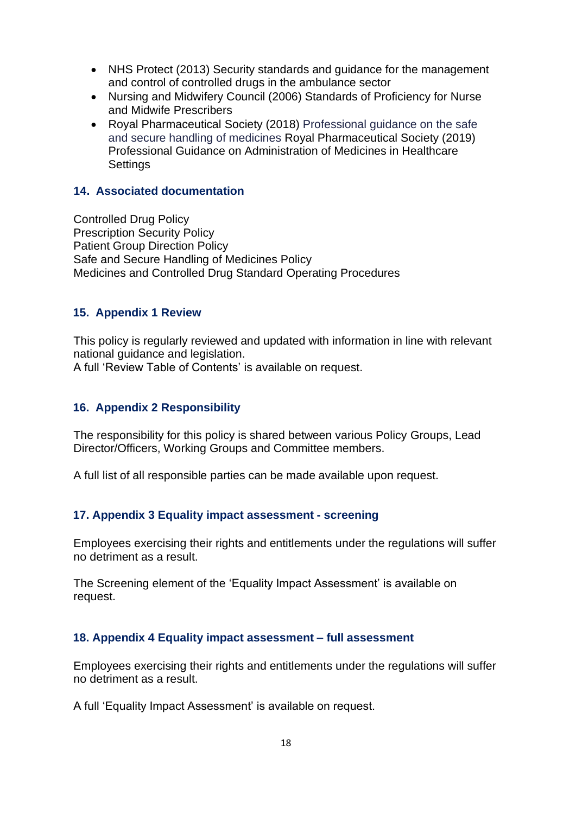- NHS Protect (2013) Security standards and guidance for the management and control of controlled drugs in the ambulance sector
- Nursing and Midwifery Council (2006) Standards of Proficiency for Nurse and Midwife Prescribers
- Royal Pharmaceutical Society (2018) Professional guidance on the safe and secure handling of medicines Royal Pharmaceutical Society (2019) Professional Guidance on Administration of Medicines in Healthcare **Settings**

#### <span id="page-17-0"></span>**14. Associated documentation**

Controlled Drug Policy Prescription Security Policy Patient Group Direction Policy Safe and Secure Handling of Medicines Policy Medicines and Controlled Drug Standard Operating Procedures

#### <span id="page-17-1"></span>**15. Appendix 1 Review**

This policy is regularly reviewed and updated with information in line with relevant national guidance and legislation.

A full 'Review Table of Contents' is available on request.

#### <span id="page-17-2"></span>**16. Appendix 2 Responsibility**

The responsibility for this policy is shared between various Policy Groups, Lead Director/Officers, Working Groups and Committee members.

A full list of all responsible parties can be made available upon request.

#### <span id="page-17-3"></span>**17. Appendix 3 Equality impact assessment - screening**

Employees exercising their rights and entitlements under the regulations will suffer no detriment as a result.

The Screening element of the 'Equality Impact Assessment' is available on request.

#### <span id="page-17-4"></span>**18. Appendix 4 Equality impact assessment – full assessment**

Employees exercising their rights and entitlements under the regulations will suffer no detriment as a result.

A full 'Equality Impact Assessment' is available on request.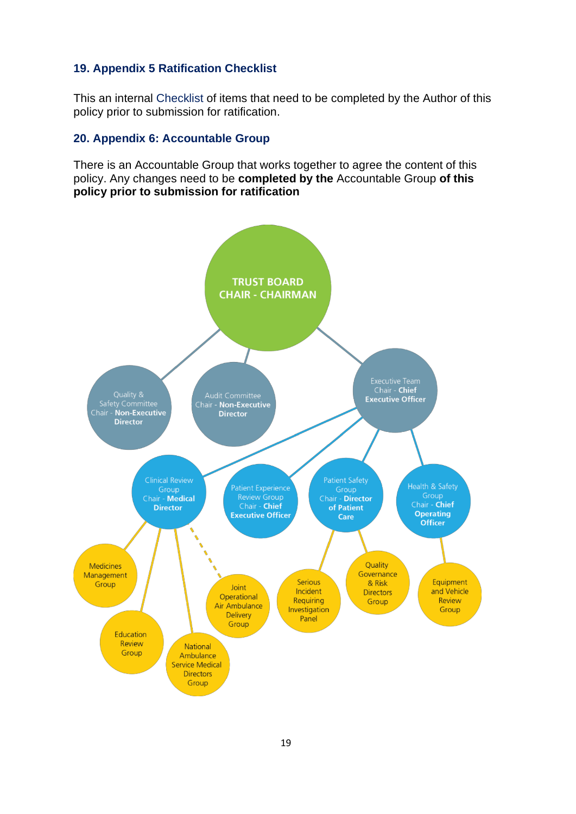#### <span id="page-18-0"></span>**19. Appendix 5 Ratification Checklist**

This an internal Checklist of items that need to be completed by the Author of this policy prior to submission for ratification.

#### <span id="page-18-1"></span>**20. Appendix 6: Accountable Group**

There is an Accountable Group that works together to agree the content of this policy. Any changes need to be **completed by the** Accountable Group **of this policy prior to submission for ratification**

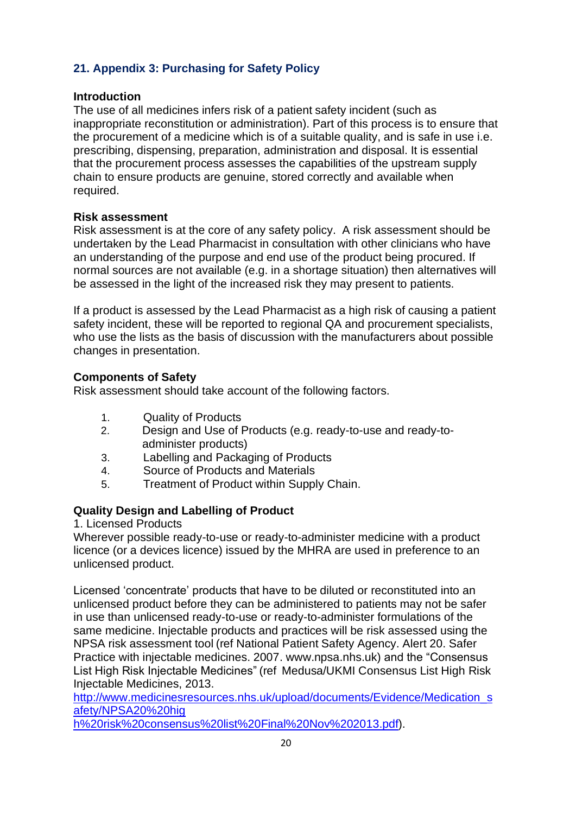#### <span id="page-19-0"></span>**21. Appendix 3: Purchasing for Safety Policy**

#### **Introduction**

The use of all medicines infers risk of a patient safety incident (such as inappropriate reconstitution or administration). Part of this process is to ensure that the procurement of a medicine which is of a suitable quality, and is safe in use i.e. prescribing, dispensing, preparation, administration and disposal. It is essential that the procurement process assesses the capabilities of the upstream supply chain to ensure products are genuine, stored correctly and available when required.

#### **Risk assessment**

Risk assessment is at the core of any safety policy. A risk assessment should be undertaken by the Lead Pharmacist in consultation with other clinicians who have an understanding of the purpose and end use of the product being procured. If normal sources are not available (e.g. in a shortage situation) then alternatives will be assessed in the light of the increased risk they may present to patients.

If a product is assessed by the Lead Pharmacist as a high risk of causing a patient safety incident, these will be reported to regional QA and procurement specialists, who use the lists as the basis of discussion with the manufacturers about possible changes in presentation.

#### **Components of Safety**

Risk assessment should take account of the following factors.

- 1. Quality of Products
- 2. Design and Use of Products (e.g. ready-to-use and ready-toadminister products)
- 3. Labelling and Packaging of Products
- 4. Source of Products and Materials
- 5. Treatment of Product within Supply Chain.

#### **Quality Design and Labelling of Product**

1. Licensed Products

Wherever possible ready-to-use or ready-to-administer medicine with a product licence (or a devices licence) issued by the MHRA are used in preference to an unlicensed product.

Licensed 'concentrate' products that have to be diluted or reconstituted into an unlicensed product before they can be administered to patients may not be safer in use than unlicensed ready-to-use or ready-to-administer formulations of the same medicine. Injectable products and practices will be risk assessed using the NPSA risk assessment tool (ref National Patient Safety Agency. Alert 20. Safer Practice with injectable medicines. 2007. www.npsa.nhs.uk) and the "Consensus List High Risk Injectable Medicines" (ref Medusa/UKMI Consensus List High Risk Injectable Medicines, 2013.

[http://www.medicinesresources.nhs.uk/upload/documents/Evidence/Medication\\_s](http://www.medicinesresources.nhs.uk/upload/documents/Evidence/Medication_safety/NPSA20%20high%20risk%20consensus%20list%20Final%20Nov%202013.pdf) [afety/NPSA20%20hig](http://www.medicinesresources.nhs.uk/upload/documents/Evidence/Medication_safety/NPSA20%20high%20risk%20consensus%20list%20Final%20Nov%202013.pdf)

[h%20risk%20consensus%20list%20Final%20Nov%202013.pdf\).](http://www.medicinesresources.nhs.uk/upload/documents/Evidence/Medication_safety/NPSA20%20high%20risk%20consensus%20list%20Final%20Nov%202013.pdf)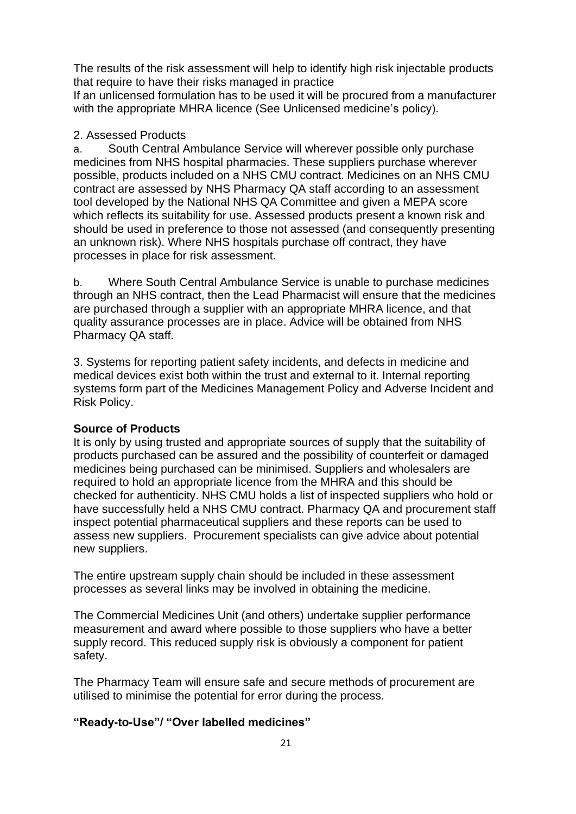The results of the risk assessment will help to identify high risk injectable products that require to have their risks managed in practice

If an unlicensed formulation has to be used it will be procured from a manufacturer with the appropriate MHRA licence (See Unlicensed medicine's policy).

#### 2. Assessed Products

a. South Central Ambulance Service will wherever possible only purchase medicines from NHS hospital pharmacies. These suppliers purchase wherever possible, products included on a NHS CMU contract. Medicines on an NHS CMU contract are assessed by NHS Pharmacy QA staff according to an assessment tool developed by the National NHS QA Committee and given a MEPA score which reflects its suitability for use. Assessed products present a known risk and should be used in preference to those not assessed (and consequently presenting an unknown risk). Where NHS hospitals purchase off contract, they have processes in place for risk assessment.

b. Where South Central Ambulance Service is unable to purchase medicines through an NHS contract, then the Lead Pharmacist will ensure that the medicines are purchased through a supplier with an appropriate MHRA licence, and that quality assurance processes are in place. Advice will be obtained from NHS Pharmacy QA staff.

3. Systems for reporting patient safety incidents, and defects in medicine and medical devices exist both within the trust and external to it. Internal reporting systems form part of the Medicines Management Policy and Adverse Incident and Risk Policy.

#### **Source of Products**

It is only by using trusted and appropriate sources of supply that the suitability of products purchased can be assured and the possibility of counterfeit or damaged medicines being purchased can be minimised. Suppliers and wholesalers are required to hold an appropriate licence from the MHRA and this should be checked for authenticity. NHS CMU holds a list of inspected suppliers who hold or have successfully held a NHS CMU contract. Pharmacy QA and procurement staff inspect potential pharmaceutical suppliers and these reports can be used to assess new suppliers. Procurement specialists can give advice about potential new suppliers.

The entire upstream supply chain should be included in these assessment processes as several links may be involved in obtaining the medicine.

The Commercial Medicines Unit (and others) undertake supplier performance measurement and award where possible to those suppliers who have a better supply record. This reduced supply risk is obviously a component for patient safety.

The Pharmacy Team will ensure safe and secure methods of procurement are utilised to minimise the potential for error during the process.

#### **"Ready-to-Use"/ "Over labelled medicines"**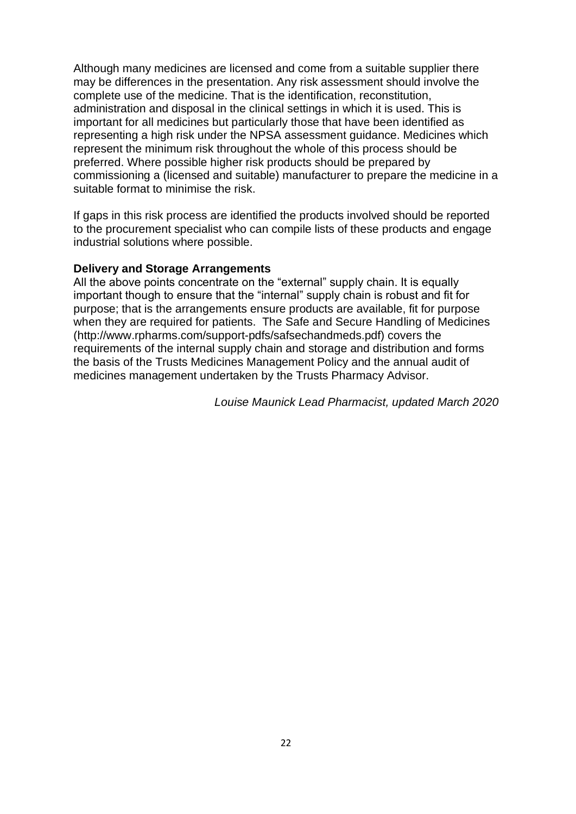Although many medicines are licensed and come from a suitable supplier there may be differences in the presentation. Any risk assessment should involve the complete use of the medicine. That is the identification, reconstitution, administration and disposal in the clinical settings in which it is used. This is important for all medicines but particularly those that have been identified as representing a high risk under the NPSA assessment guidance. Medicines which represent the minimum risk throughout the whole of this process should be preferred. Where possible higher risk products should be prepared by commissioning a (licensed and suitable) manufacturer to prepare the medicine in a suitable format to minimise the risk.

If gaps in this risk process are identified the products involved should be reported to the procurement specialist who can compile lists of these products and engage industrial solutions where possible.

#### **Delivery and Storage Arrangements**

All the above points concentrate on the "external" supply chain. It is equally important though to ensure that the "internal" supply chain is robust and fit for purpose; that is the arrangements ensure products are available, fit for purpose when they are required for patients. The Safe and Secure Handling of Medicin[es](http://www.rpharms.com/support-pdfs/safsechandmeds.pdf)) [\(http://www.rpharms.com/support-pdfs/safsechandmeds.pdf\)](http://www.rpharms.com/support-pdfs/safsechandmeds.pdf)) [co](http://www.rpharms.com/support-pdfs/safsechandmeds.pdf))vers the requirements of the internal supply chain and storage and distribution and forms the basis of the Trusts Medicines Management Policy and the annual audit of medicines management undertaken by the Trusts Pharmacy Advisor.

*Louise Maunick Lead Pharmacist, updated March 2020*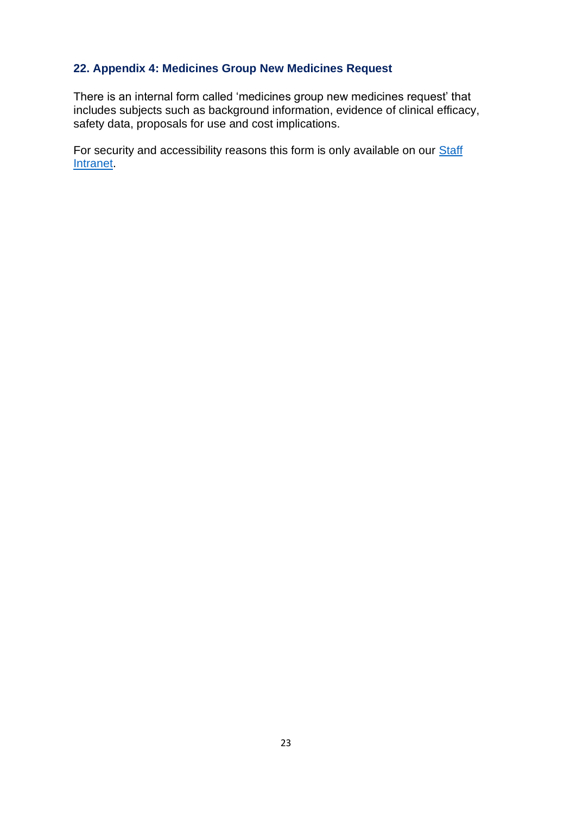#### <span id="page-22-0"></span>**22. Appendix 4: Medicines Group New Medicines Request**

There is an internal form called 'medicines group new medicines request' that includes subjects such as background information, evidence of clinical efficacy, safety data, proposals for use and cost implications.

For security and accessibility reasons this form is only available on our **Staff** [Intranet.](https://www.scas.nhs.uk/intranet/)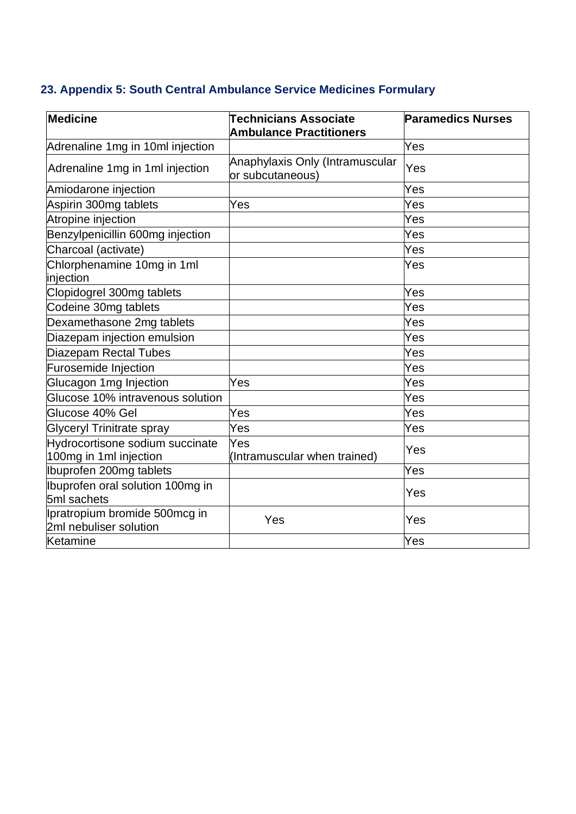# <span id="page-23-0"></span>**23. Appendix 5: South Central Ambulance Service Medicines Formulary**

| <b>Medicine</b>                                           | <b>Technicians Associate</b><br><b>Ambulance Practitioners</b> | <b>Paramedics Nurses</b> |
|-----------------------------------------------------------|----------------------------------------------------------------|--------------------------|
| Adrenaline 1mg in 10ml injection                          |                                                                | Yes                      |
| Adrenaline 1mg in 1ml injection                           | Anaphylaxis Only (Intramuscular<br>or subcutaneous)            | Yes                      |
| Amiodarone injection                                      |                                                                | Yes                      |
| Aspirin 300mg tablets                                     | Yes                                                            | Yes                      |
| Atropine injection                                        |                                                                | Yes                      |
| Benzylpenicillin 600mg injection                          |                                                                | Yes                      |
| Charcoal (activate)                                       |                                                                | Yes                      |
| Chlorphenamine 10mg in 1ml<br>injection                   |                                                                | Yes                      |
| Clopidogrel 300mg tablets                                 |                                                                | Yes                      |
| Codeine 30mg tablets                                      |                                                                | Yes                      |
| Dexamethasone 2mg tablets                                 |                                                                | Yes                      |
| Diazepam injection emulsion                               |                                                                | Yes                      |
| <b>Diazepam Rectal Tubes</b>                              |                                                                | Yes                      |
| Furosemide Injection                                      |                                                                | Yes                      |
| Glucagon 1mg Injection                                    | Yes                                                            | Yes                      |
| Glucose 10% intravenous solution                          |                                                                | Yes                      |
| Glucose 40% Gel                                           | Yes                                                            | Yes                      |
| <b>Glyceryl Trinitrate spray</b>                          | Yes                                                            | Yes                      |
| Hydrocortisone sodium succinate<br>100mg in 1ml injection | Yes<br>(Intramuscular when trained)                            | Yes                      |
| Ibuprofen 200mg tablets                                   |                                                                | Yes                      |
| Ibuprofen oral solution 100mg in<br>5ml sachets           |                                                                | Yes                      |
| Ipratropium bromide 500mcg in<br>2ml nebuliser solution   | Yes                                                            | Yes                      |
| Ketamine                                                  |                                                                | Yes                      |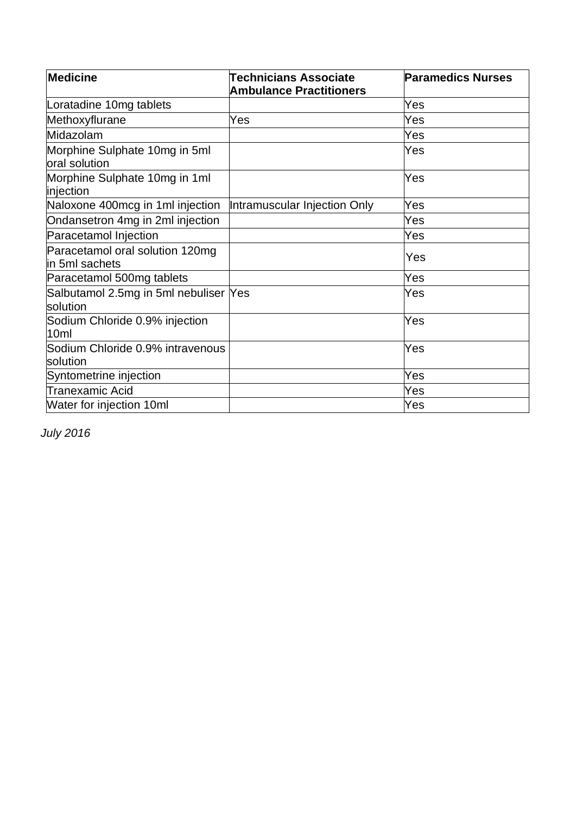| Medicine                                          | <b>Technicians Associate</b><br><b>Ambulance Practitioners</b> | <b>Paramedics Nurses</b> |
|---------------------------------------------------|----------------------------------------------------------------|--------------------------|
| Loratadine 10mg tablets                           |                                                                | Yes                      |
| Methoxyflurane                                    | Yes                                                            | Yes                      |
| Midazolam                                         |                                                                | Yes                      |
| Morphine Sulphate 10mg in 5ml<br>oral solution    |                                                                | Yes                      |
| Morphine Sulphate 10mg in 1ml<br>injection        |                                                                | Yes                      |
| Naloxone 400mcg in 1ml injection                  | Intramuscular Injection Only                                   | Yes                      |
| Ondansetron 4mg in 2ml injection                  |                                                                | Yes                      |
| Paracetamol Injection                             |                                                                | Yes                      |
| Paracetamol oral solution 120mg<br>in 5ml sachets |                                                                | Yes                      |
| Paracetamol 500mg tablets                         |                                                                | Yes                      |
| Salbutamol 2.5mg in 5ml nebuliser Yes<br>solution |                                                                | Yes                      |
| Sodium Chloride 0.9% injection<br>10ml            |                                                                | Yes                      |
| Sodium Chloride 0.9% intravenous<br>solution      |                                                                | Yes                      |
| Syntometrine injection                            |                                                                | Yes                      |
| Tranexamic Acid                                   |                                                                | Yes                      |
| Water for injection 10ml                          |                                                                | Yes                      |

*July 2016*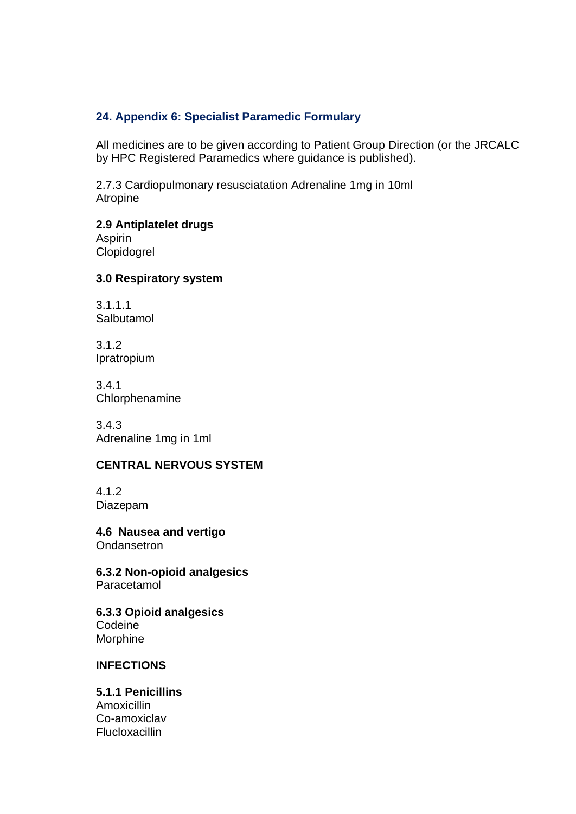#### <span id="page-25-0"></span>**24. Appendix 6: Specialist Paramedic Formulary**

All medicines are to be given according to Patient Group Direction (or the JRCALC by HPC Registered Paramedics where guidance is published).

2.7.3 Cardiopulmonary resusciatation Adrenaline 1mg in 10ml Atropine

#### **2.9 Antiplatelet drugs** Aspirin

Clopidogrel

#### **3.0 Respiratory system**

3.1.1.1 Salbutamol

3.1.2 Ipratropium

3.4.1 **Chlorphenamine** 

3.4.3 Adrenaline 1mg in 1ml

#### **CENTRAL NERVOUS SYSTEM**

4.1.2 Diazepam

**4.6 Nausea and vertigo Ondansetron** 

**6.3.2 Non-opioid analgesics** Paracetamol

**6.3.3 Opioid analgesics** Codeine Morphine

#### **INFECTIONS**

**5.1.1 Penicillins** Amoxicillin Co-amoxiclav **Flucloxacillin**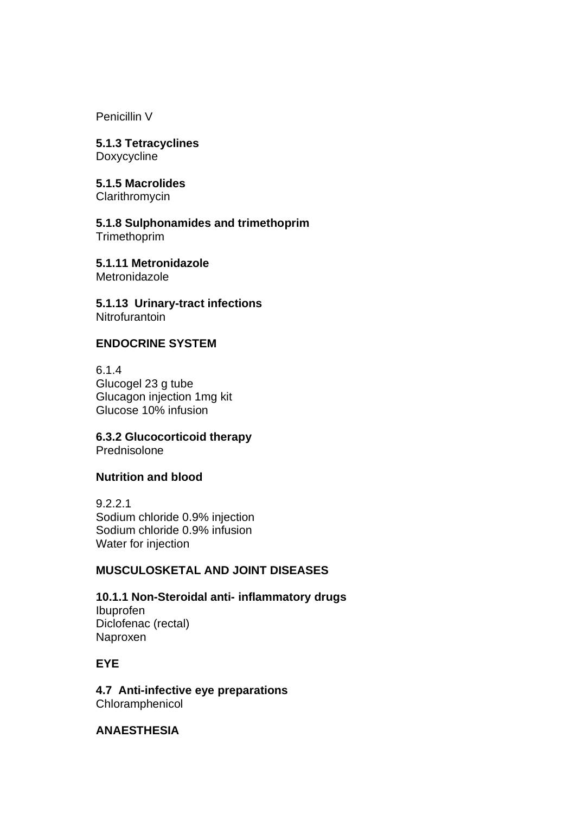Penicillin V

**5.1.3 Tetracyclines** Doxycycline

**5.1.5 Macrolides Clarithromycin** 

**5.1.8 Sulphonamides and trimethoprim Trimethoprim** 

**5.1.11 Metronidazole Metronidazole** 

**5.1.13 Urinary-tract infections Nitrofurantoin** 

#### **ENDOCRINE SYSTEM**

6.1.4 Glucogel 23 g tube Glucagon injection 1mg kit Glucose 10% infusion

**6.3.2 Glucocorticoid therapy** Prednisolone

#### **Nutrition and blood**

9.2.2.1 Sodium chloride 0.9% injection Sodium chloride 0.9% infusion Water for injection

#### **MUSCULOSKETAL AND JOINT DISEASES**

**10.1.1 Non-Steroidal anti- inflammatory drugs** Ibuprofen Diclofenac (rectal) Naproxen

#### **EYE**

**4.7 Anti-infective eye preparations** Chloramphenicol

**ANAESTHESIA**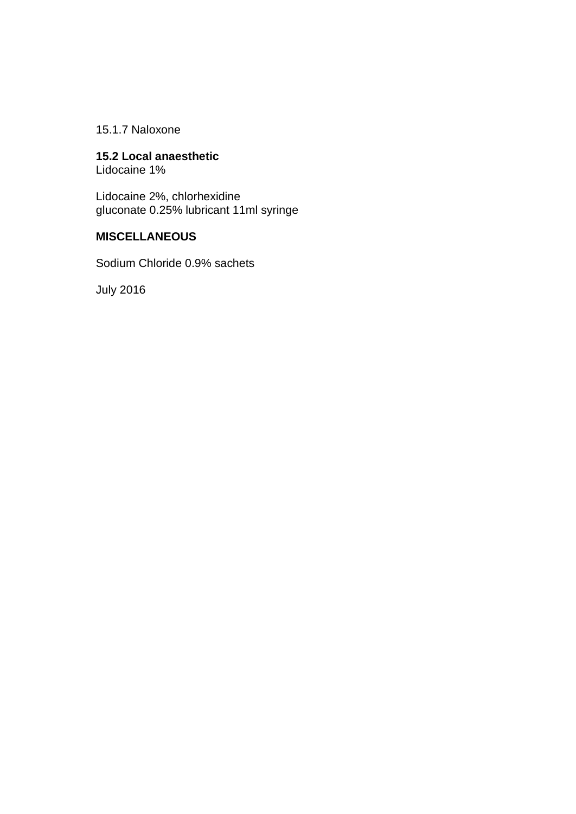15.1.7 Naloxone

# **15.2 Local anaesthetic**

Lidocaine 1%

Lidocaine 2%, chlorhexidine gluconate 0.25% lubricant 11ml syringe

#### **MISCELLANEOUS**

Sodium Chloride 0.9% sachets

July 2016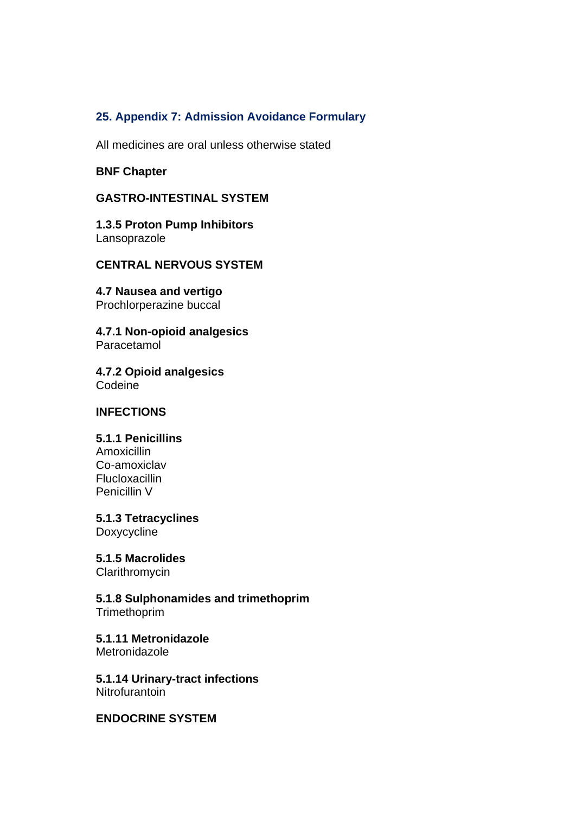#### <span id="page-28-0"></span>**25. Appendix 7: Admission Avoidance Formulary**

All medicines are oral unless otherwise stated

#### **BNF Chapter**

#### **GASTRO-INTESTINAL SYSTEM**

**1.3.5 Proton Pump Inhibitors** Lansoprazole

#### **CENTRAL NERVOUS SYSTEM**

**4.7 Nausea and vertigo** Prochlorperazine buccal

**4.7.1 Non-opioid analgesics** Paracetamol

**4.7.2 Opioid analgesics** Codeine

#### **INFECTIONS**

#### **5.1.1 Penicillins**

Amoxicillin Co-amoxiclav **Flucloxacillin** Penicillin V

**5.1.3 Tetracyclines** Doxycycline

**5.1.5 Macrolides**

**Clarithromycin** 

**5.1.8 Sulphonamides and trimethoprim Trimethoprim** 

**5.1.11 Metronidazole Metronidazole** 

**5.1.14 Urinary-tract infections Nitrofurantoin** 

**ENDOCRINE SYSTEM**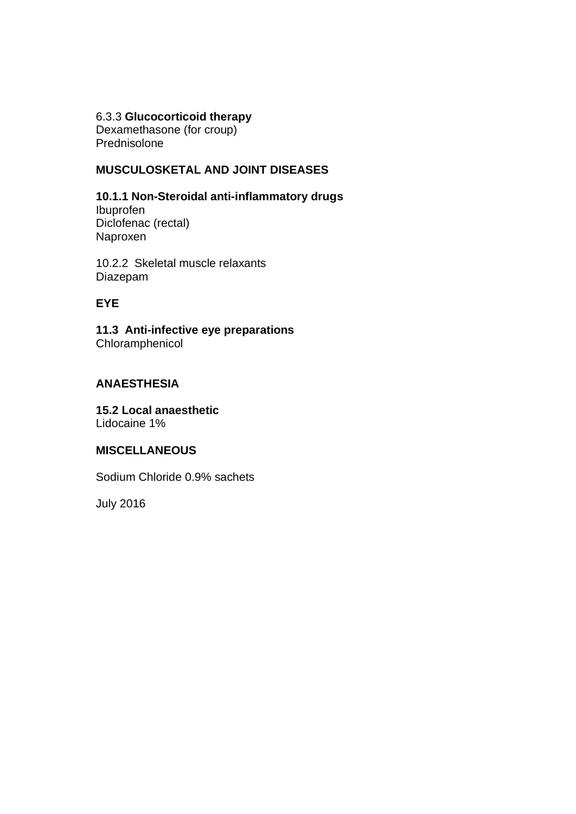#### 6.3.3 **Glucocorticoid therapy**

Dexamethasone (for croup) Prednisolone

#### **MUSCULOSKETAL AND JOINT DISEASES**

**10.1.1 Non-Steroidal anti-inflammatory drugs** Ibuprofen Diclofenac (rectal) Naproxen

10.2.2 Skeletal muscle relaxants Diazepam

#### **EYE**

**11.3 Anti-infective eye preparations** Chloramphenicol

#### **ANAESTHESIA**

**15.2 Local anaesthetic** Lidocaine 1%

#### **MISCELLANEOUS**

Sodium Chloride 0.9% sachets

July 2016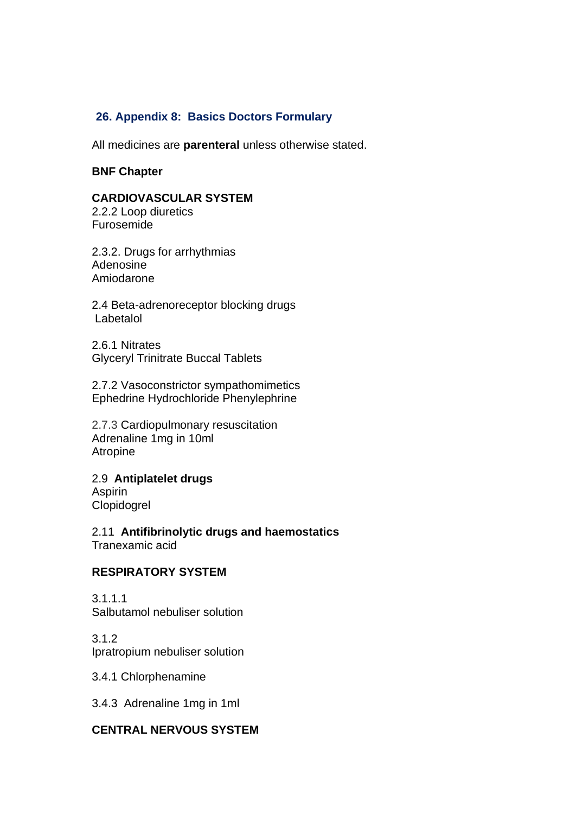#### <span id="page-30-0"></span>**26. Appendix 8: Basics Doctors Formulary**

All medicines are **parenteral** unless otherwise stated.

#### **BNF Chapter**

#### **CARDIOVASCULAR SYSTEM**

2.2.2 Loop diuretics Furosemide

2.3.2. Drugs for arrhythmias Adenosine Amiodarone

2.4 Beta-adrenoreceptor blocking drugs Labetalol

2.6.1 Nitrates Glyceryl Trinitrate Buccal Tablets

2.7.2 Vasoconstrictor sympathomimetics Ephedrine Hydrochloride Phenylephrine

2.7.3 Cardiopulmonary resuscitation Adrenaline 1mg in 10ml Atropine

2.9 **Antiplatelet drugs** Aspirin Clopidogrel

2.11 **Antifibrinolytic drugs and haemostatics** Tranexamic acid

#### **RESPIRATORY SYSTEM**

3.1.1.1 Salbutamol nebuliser solution

3.1.2 Ipratropium nebuliser solution

3.4.1 Chlorphenamine

3.4.3 Adrenaline 1mg in 1ml

#### **CENTRAL NERVOUS SYSTEM**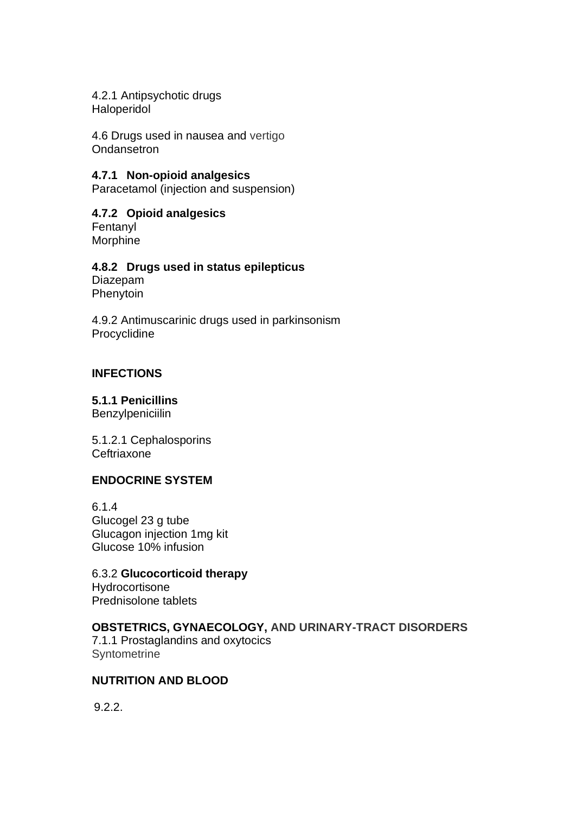4.2.1 Antipsychotic drugs Haloperidol

4.6 Drugs used in nausea and vertigo **Ondansetron** 

#### **4.7.1 Non-opioid analgesics**

Paracetamol (injection and suspension)

#### **4.7.2 Opioid analgesics**

Fentanyl **Morphine** 

#### **4.8.2 Drugs used in status epilepticus**

Diazepam Phenytoin

4.9.2 Antimuscarinic drugs used in parkinsonism Procyclidine

#### **INFECTIONS**

**5.1.1 Penicillins**

**Benzylpeniciilin** 

5.1.2.1 Cephalosporins **Ceftriaxone** 

#### **ENDOCRINE SYSTEM**

6.1.4 Glucogel 23 g tube Glucagon injection 1mg kit Glucose 10% infusion

6.3.2 **Glucocorticoid therapy Hydrocortisone** Prednisolone tablets

#### **OBSTETRICS, GYNAECOLOGY, AND URINARY-TRACT DISORDERS**

7.1.1 Prostaglandins and oxytocics **Syntometrine** 

#### **NUTRITION AND BLOOD**

9.2.2.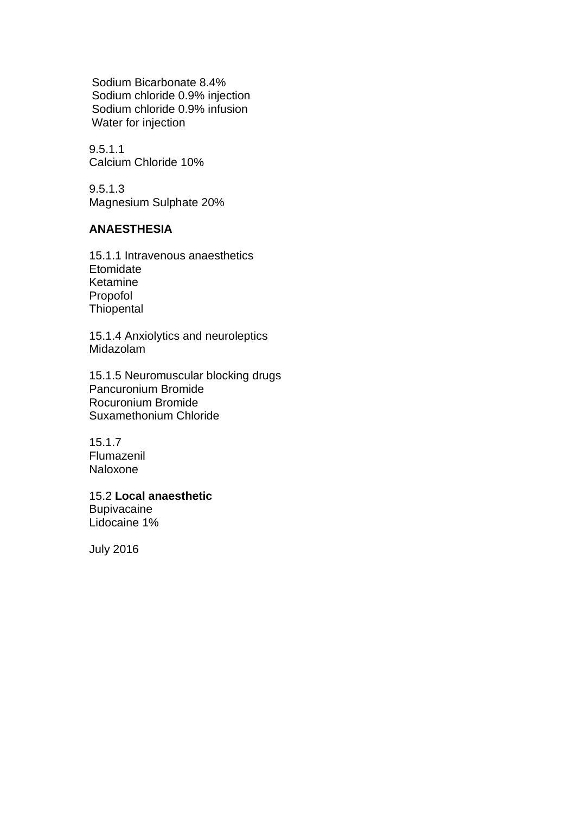Sodium Bicarbonate 8.4% Sodium chloride 0.9% injection Sodium chloride 0.9% infusion Water for injection

9.5.1.1 Calcium Chloride 10%

9.5.1.3 Magnesium Sulphate 20%

#### **ANAESTHESIA**

15.1.1 Intravenous anaesthetics **Etomidate** Ketamine Propofol **Thiopental** 

15.1.4 Anxiolytics and neuroleptics Midazolam

15.1.5 Neuromuscular blocking drugs Pancuronium Bromide Rocuronium Bromide Suxamethonium Chloride

15.1.7 Flumazenil Naloxone

15.2 **Local anaesthetic Bupivacaine** Lidocaine 1%

July 2016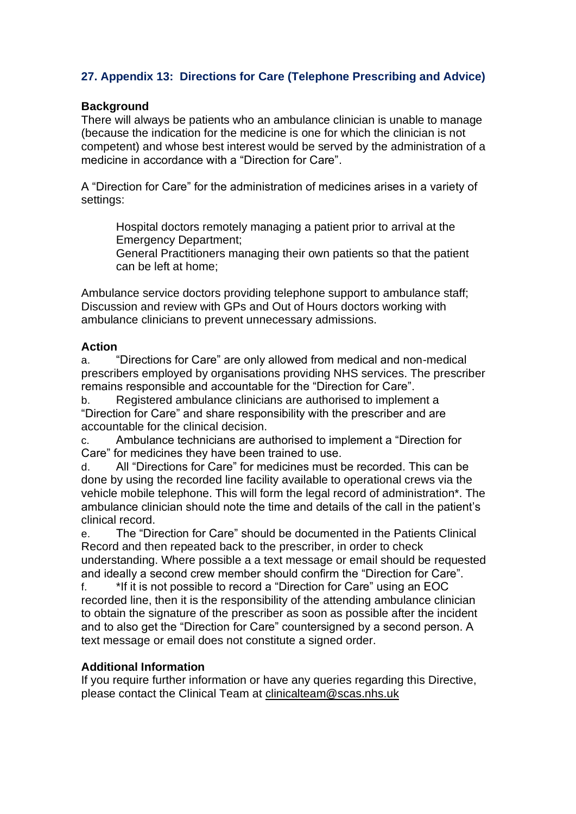#### <span id="page-33-0"></span>**27. Appendix 13: Directions for Care (Telephone Prescribing and Advice)**

#### **Background**

There will always be patients who an ambulance clinician is unable to manage (because the indication for the medicine is one for which the clinician is not competent) and whose best interest would be served by the administration of a medicine in accordance with a "Direction for Care".

A "Direction for Care" for the administration of medicines arises in a variety of settings:

Hospital doctors remotely managing a patient prior to arrival at the Emergency Department;

General Practitioners managing their own patients so that the patient can be left at home;

Ambulance service doctors providing telephone support to ambulance staff; Discussion and review with GPs and Out of Hours doctors working with ambulance clinicians to prevent unnecessary admissions.

#### **Action**

a. "Directions for Care" are only allowed from medical and non-medical prescribers employed by organisations providing NHS services. The prescriber remains responsible and accountable for the "Direction for Care".

b. Registered ambulance clinicians are authorised to implement a "Direction for Care" and share responsibility with the prescriber and are accountable for the clinical decision.

c. Ambulance technicians are authorised to implement a "Direction for Care" for medicines they have been trained to use.

d. All "Directions for Care" for medicines must be recorded. This can be done by using the recorded line facility available to operational crews via the vehicle mobile telephone. This will form the legal record of administration\*. The ambulance clinician should note the time and details of the call in the patient's clinical record.

e. The "Direction for Care" should be documented in the Patients Clinical Record and then repeated back to the prescriber, in order to check understanding. Where possible a a text message or email should be requested and ideally a second crew member should confirm the "Direction for Care".

f. \*If it is not possible to record a "Direction for Care" using an EOC recorded line, then it is the responsibility of the attending ambulance clinician to obtain the signature of the prescriber as soon as possible after the incident and to also get the "Direction for Care" countersigned by a second person. A text message or email does not constitute a signed order.

#### **Additional Information**

If you require further information or have any queries regarding this Directive, please contact the Clinical Team at clinicalteam@scas.nhs.uk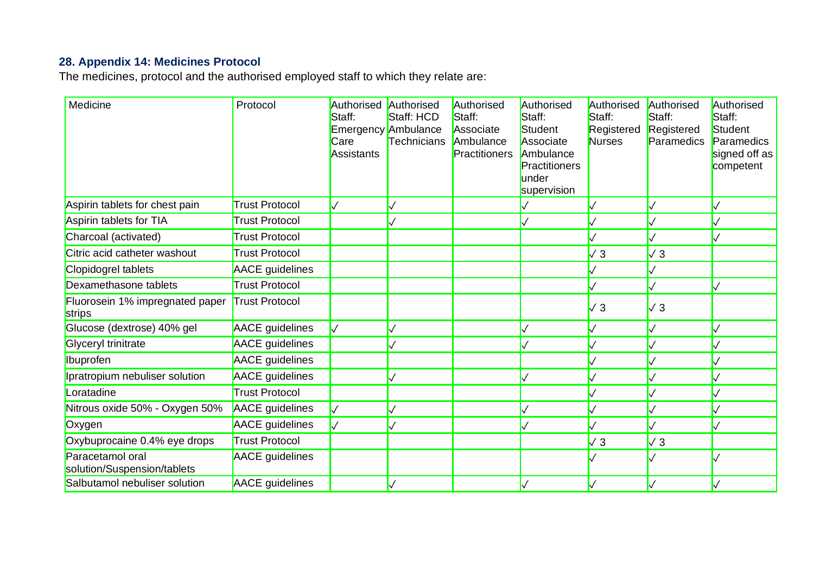# **28. Appendix 14: Medicines Protocol**

The medicines, protocol and the authorised employed staff to which they relate are:

<span id="page-34-0"></span>

| Medicine                                        | Protocol               | Authorised Authorised<br>Staff:<br>Care<br>Assistants | Staff: HCD<br>Emergency Ambulance<br>Technicians | Authorised<br>Staff:<br>Associate<br>Ambulance<br>Practitioners | Authorised<br>Staff:<br>Student<br>Associate<br>Ambulance<br>Practitioners<br>under<br>supervision | Authorised<br>Staff:<br>Registered<br>Nurses | Authorised<br>Staff:<br>Registered<br>Paramedics | Authorised<br>Staff:<br>Student<br>Paramedics<br>signed off as<br>competent |
|-------------------------------------------------|------------------------|-------------------------------------------------------|--------------------------------------------------|-----------------------------------------------------------------|----------------------------------------------------------------------------------------------------|----------------------------------------------|--------------------------------------------------|-----------------------------------------------------------------------------|
| Aspirin tablets for chest pain                  | <b>Trust Protocol</b>  |                                                       |                                                  |                                                                 |                                                                                                    |                                              |                                                  |                                                                             |
| Aspirin tablets for TIA                         | <b>Trust Protocol</b>  |                                                       |                                                  |                                                                 |                                                                                                    |                                              |                                                  |                                                                             |
| Charcoal (activated)                            | <b>Trust Protocol</b>  |                                                       |                                                  |                                                                 |                                                                                                    |                                              |                                                  |                                                                             |
| Citric acid catheter washout                    | <b>Trust Protocol</b>  |                                                       |                                                  |                                                                 |                                                                                                    | $\sqrt{3}$                                   | $\sqrt{3}$                                       |                                                                             |
| Clopidogrel tablets                             | <b>AACE</b> guidelines |                                                       |                                                  |                                                                 |                                                                                                    |                                              |                                                  |                                                                             |
| Dexamethasone tablets                           | <b>Trust Protocol</b>  |                                                       |                                                  |                                                                 |                                                                                                    |                                              |                                                  |                                                                             |
| Fluorosein 1% impregnated paper<br>strips       | <b>Trust Protocol</b>  |                                                       |                                                  |                                                                 |                                                                                                    | $\sqrt{3}$                                   | $\sqrt{3}$                                       |                                                                             |
| Glucose (dextrose) 40% gel                      | AACE guidelines        |                                                       |                                                  |                                                                 |                                                                                                    |                                              |                                                  |                                                                             |
| <b>Glyceryl trinitrate</b>                      | <b>AACE</b> guidelines |                                                       |                                                  |                                                                 |                                                                                                    |                                              |                                                  |                                                                             |
| <b>Ibuprofen</b>                                | <b>AACE</b> guidelines |                                                       |                                                  |                                                                 |                                                                                                    |                                              |                                                  |                                                                             |
| Ipratropium nebuliser solution                  | <b>AACE</b> guidelines |                                                       |                                                  |                                                                 |                                                                                                    |                                              |                                                  |                                                                             |
| _oratadine                                      | <b>Trust Protocol</b>  |                                                       |                                                  |                                                                 |                                                                                                    |                                              |                                                  |                                                                             |
| Nitrous oxide 50% - Oxygen 50%                  | <b>AACE</b> guidelines |                                                       |                                                  |                                                                 |                                                                                                    |                                              |                                                  |                                                                             |
| Oxygen                                          | AACE guidelines        |                                                       |                                                  |                                                                 |                                                                                                    |                                              |                                                  |                                                                             |
| Oxybuprocaine 0.4% eye drops                    | Trust Protocol         |                                                       |                                                  |                                                                 |                                                                                                    | $\sqrt{3}$                                   | $\sqrt{3}$                                       |                                                                             |
| Paracetamol oral<br>solution/Suspension/tablets | <b>AACE</b> guidelines |                                                       |                                                  |                                                                 |                                                                                                    |                                              |                                                  |                                                                             |
| Salbutamol nebuliser solution                   | AACE guidelines        |                                                       |                                                  |                                                                 |                                                                                                    |                                              |                                                  |                                                                             |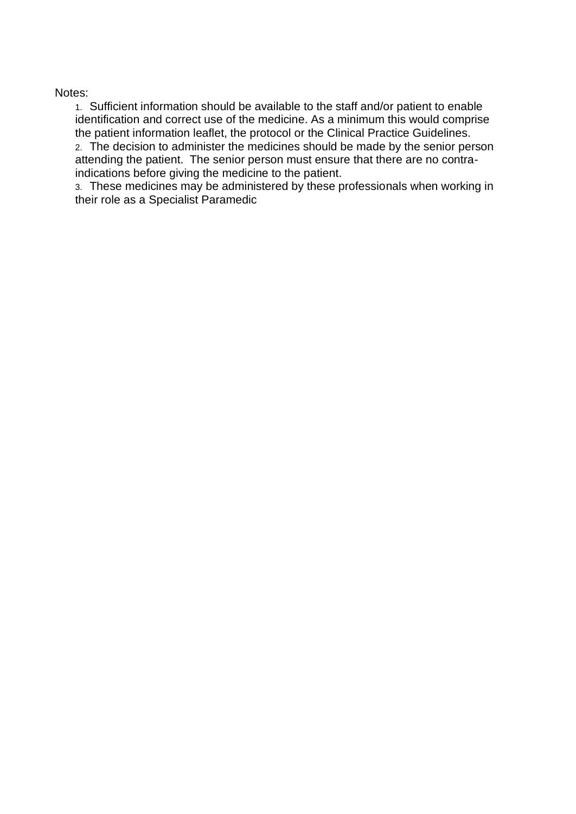#### Notes:

1. Sufficient information should be available to the staff and/or patient to enable identification and correct use of the medicine. As a minimum this would comprise the patient information leaflet, the protocol or the Clinical Practice Guidelines. 2. The decision to administer the medicines should be made by the senior person attending the patient. The senior person must ensure that there are no contraindications before giving the medicine to the patient.

3. These medicines may be administered by these professionals when working in their role as a Specialist Paramedic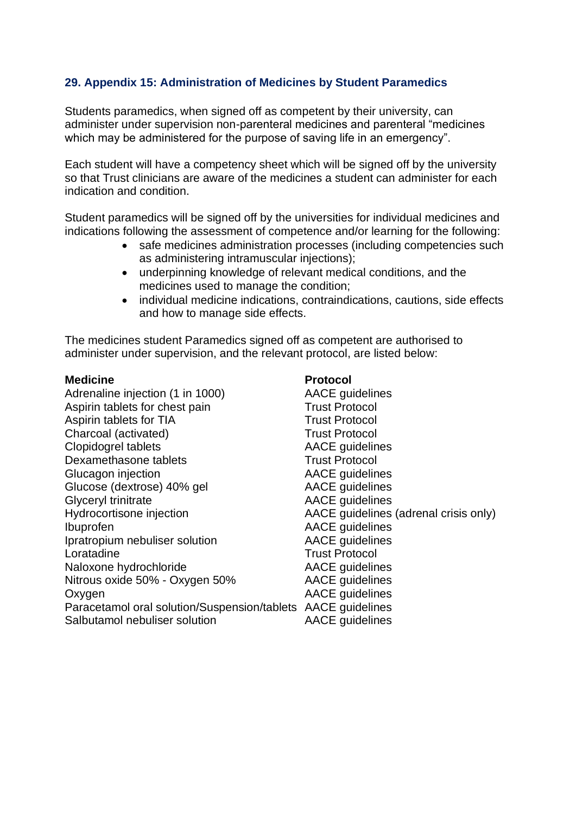#### <span id="page-36-0"></span>**29. Appendix 15: Administration of Medicines by Student Paramedics**

Students paramedics, when signed off as competent by their university, can administer under supervision non-parenteral medicines and parenteral "medicines which may be administered for the purpose of saving life in an emergency".

Each student will have a competency sheet which will be signed off by the university so that Trust clinicians are aware of the medicines a student can administer for each indication and condition.

Student paramedics will be signed off by the universities for individual medicines and indications following the assessment of competence and/or learning for the following:

- safe medicines administration processes (including competencies such as administering intramuscular injections);
- underpinning knowledge of relevant medical conditions, and the medicines used to manage the condition;
- individual medicine indications, contraindications, cautions, side effects and how to manage side effects.

The medicines student Paramedics signed off as competent are authorised to administer under supervision, and the relevant protocol, are listed below:

Adrenaline injection (1 in 1000) AACE quidelines Aspirin tablets for chest pain<br>Aspirin tablets for TIA<br>Trust Protocol Aspirin tablets for TIA Charcoal (activated) Trust Protocol Clopidogrel tablets AACE quidelines Dexamethasone tablets Trust Protocol Glucagon injection **AACE** guidelines Glucose (dextrose) 40% gel AACE quidelines Glyceryl trinitrate **AACE** guidelines Hydrocortisone injection AACE guidelines (adrenal crisis only) Ibuprofen AACE guidelines Ipratropium nebuliser solution AACE guidelines Loratadine **Trust Protocol** Naloxone hydrochloride AACE quidelines Nitrous oxide 50% - Oxygen 50% AACE guidelines Oxygen **AACE** guidelines Paracetamol oral solution/Suspension/tablets AACE guidelines Salbutamol nebuliser solution **AACE** quidelines

#### **Medicine** Protocol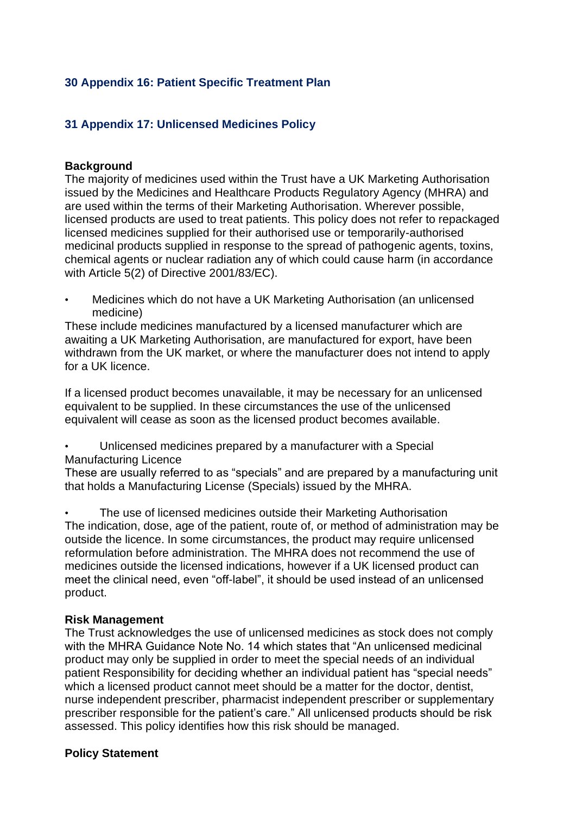#### <span id="page-37-0"></span>**30 Appendix 16: Patient Specific Treatment Plan**

#### <span id="page-37-1"></span>**31 Appendix 17: Unlicensed Medicines Policy**

#### **Background**

The majority of medicines used within the Trust have a UK Marketing Authorisation issued by the Medicines and Healthcare Products Regulatory Agency (MHRA) and are used within the terms of their Marketing Authorisation. Wherever possible, licensed products are used to treat patients. This policy does not refer to repackaged licensed medicines supplied for their authorised use or temporarily-authorised medicinal products supplied in response to the spread of pathogenic agents, toxins, chemical agents or nuclear radiation any of which could cause harm (in accordance with Article 5(2) of Directive 2001/83/EC).

• Medicines which do not have a UK Marketing Authorisation (an unlicensed medicine)

These include medicines manufactured by a licensed manufacturer which are awaiting a UK Marketing Authorisation, are manufactured for export, have been withdrawn from the UK market, or where the manufacturer does not intend to apply for a UK licence.

If a licensed product becomes unavailable, it may be necessary for an unlicensed equivalent to be supplied. In these circumstances the use of the unlicensed equivalent will cease as soon as the licensed product becomes available.

• Unlicensed medicines prepared by a manufacturer with a Special Manufacturing Licence

These are usually referred to as "specials" and are prepared by a manufacturing unit that holds a Manufacturing License (Specials) issued by the MHRA.

The use of licensed medicines outside their Marketing Authorisation The indication, dose, age of the patient, route of, or method of administration may be outside the licence. In some circumstances, the product may require unlicensed reformulation before administration. The MHRA does not recommend the use of medicines outside the licensed indications, however if a UK licensed product can meet the clinical need, even "off-label", it should be used instead of an unlicensed product.

#### **Risk Management**

The Trust acknowledges the use of unlicensed medicines as stock does not comply with the MHRA Guidance Note No. 14 which states that "An unlicensed medicinal product may only be supplied in order to meet the special needs of an individual patient Responsibility for deciding whether an individual patient has "special needs" which a licensed product cannot meet should be a matter for the doctor, dentist, nurse independent prescriber, pharmacist independent prescriber or supplementary prescriber responsible for the patient's care." All unlicensed products should be risk assessed. This policy identifies how this risk should be managed.

#### **Policy Statement**